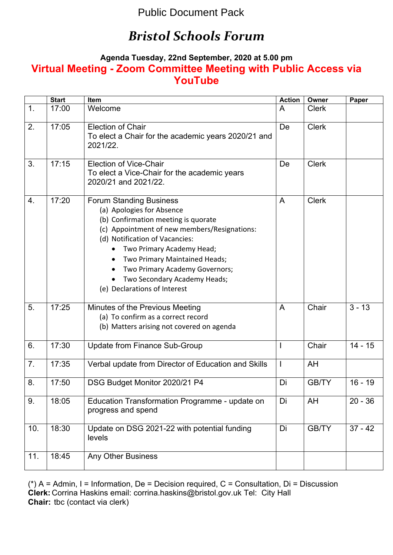# Public Document Pack

# *Bristol Schools Forum*

## **Agenda Tuesday, 22nd September, 2020 at 5.00 pm Virtual Meeting - Zoom Committee Meeting with Public Access via YouTube**

|                  | <b>Start</b> | Item                                                                                                                                                                                                                                                                                                                                                 | <b>Action</b>            | Owner        | Paper     |
|------------------|--------------|------------------------------------------------------------------------------------------------------------------------------------------------------------------------------------------------------------------------------------------------------------------------------------------------------------------------------------------------------|--------------------------|--------------|-----------|
| 1.               | 17:00        | Welcome                                                                                                                                                                                                                                                                                                                                              | A                        | <b>Clerk</b> |           |
| 2.               | 17:05        | <b>Election of Chair</b><br>De<br>To elect a Chair for the academic years 2020/21 and<br>2021/22.                                                                                                                                                                                                                                                    |                          | <b>Clerk</b> |           |
| 3.               | 17:15        | <b>Election of Vice-Chair</b><br>To elect a Vice-Chair for the academic years<br>2020/21 and 2021/22.                                                                                                                                                                                                                                                | De                       | <b>Clerk</b> |           |
| $\overline{4}$ . | 17:20        | <b>Forum Standing Business</b><br>(a) Apologies for Absence<br>(b) Confirmation meeting is quorate<br>(c) Appointment of new members/Resignations:<br>(d) Notification of Vacancies:<br>Two Primary Academy Head;<br>Two Primary Maintained Heads;<br>Two Primary Academy Governors;<br>Two Secondary Academy Heads;<br>(e) Declarations of Interest | A                        | <b>Clerk</b> |           |
| 5.               | 17:25        | Minutes of the Previous Meeting<br>(a) To confirm as a correct record<br>(b) Matters arising not covered on agenda                                                                                                                                                                                                                                   | A                        | Chair        | $3 - 13$  |
| 6.               | 17:30        | <b>Update from Finance Sub-Group</b>                                                                                                                                                                                                                                                                                                                 | $\mathsf{l}$             | Chair        | $14 - 15$ |
| 7.               | 17:35        | Verbal update from Director of Education and Skills                                                                                                                                                                                                                                                                                                  | $\overline{\phantom{a}}$ | AH           |           |
| 8.               | 17:50        | DSG Budget Monitor 2020/21 P4                                                                                                                                                                                                                                                                                                                        | Di                       | <b>GB/TY</b> | $16 - 19$ |
| 9.               | 18:05        | Education Transformation Programme - update on<br>progress and spend                                                                                                                                                                                                                                                                                 | Di                       | AH           | $20 - 36$ |
| 10.              | 18:30        | Update on DSG 2021-22 with potential funding<br>levels                                                                                                                                                                                                                                                                                               | Di                       | GB/TY        | $37 - 42$ |
| 11.              | 18:45        | <b>Any Other Business</b>                                                                                                                                                                                                                                                                                                                            |                          |              |           |

(\*) A = Admin, I = Information, De = Decision required, C = Consultation, Di = Discussion **Clerk:** Corrina Haskins email: corrina.haskins@bristol.gov.uk Tel: City Hall **Chair:** tbc (contact via clerk)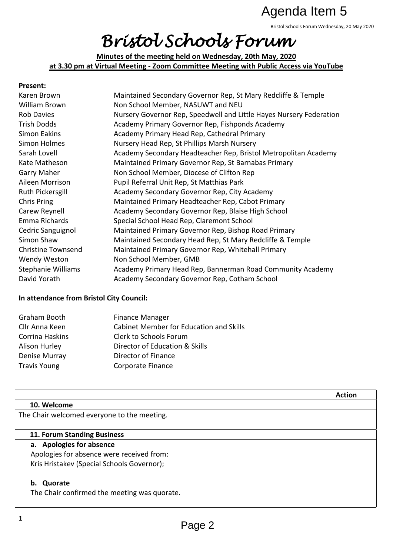Bristol Schools Forum Wednesday, 20 May 2020

# *Bristol Schools Forum*

#### **Present:**

|                                             | Agenda Item 5                                                                           |     |
|---------------------------------------------|-----------------------------------------------------------------------------------------|-----|
|                                             | Bristol Schools Forum Wednesday,                                                        |     |
|                                             | Bristol Schools Forum                                                                   |     |
|                                             | Minutes of the meeting held on Wednesday, 20th May, 2020                                |     |
|                                             | at 3.30 pm at Virtual Meeting - Zoom Committee Meeting with Public Access via YouTube   |     |
| <b>Present:</b>                             |                                                                                         |     |
| Karen Brown                                 | Maintained Secondary Governor Rep, St Mary Redcliffe & Temple                           |     |
| William Brown                               | Non School Member, NASUWT and NEU                                                       |     |
| <b>Rob Davies</b>                           | Nursery Governor Rep, Speedwell and Little Hayes Nursery Federation                     |     |
| <b>Trish Dodds</b>                          | Academy Primary Governor Rep, Fishponds Academy                                         |     |
| <b>Simon Eakins</b>                         | Academy Primary Head Rep, Cathedral Primary                                             |     |
| Simon Holmes                                | Nursery Head Rep, St Phillips Marsh Nursery                                             |     |
| Sarah Lovell                                | Academy Secondary Headteacher Rep, Bristol Metropolitan Academy                         |     |
| Kate Matheson                               | Maintained Primary Governor Rep, St Barnabas Primary                                    |     |
| <b>Garry Maher</b>                          | Non School Member, Diocese of Clifton Rep                                               |     |
| Aileen Morrison                             | Pupil Referral Unit Rep, St Matthias Park                                               |     |
| Ruth Pickersgill                            | Academy Secondary Governor Rep, City Academy                                            |     |
| <b>Chris Pring</b>                          | Maintained Primary Headteacher Rep, Cabot Primary                                       |     |
| Carew Reynell                               | Academy Secondary Governor Rep, Blaise High School                                      |     |
| Emma Richards                               | Special School Head Rep, Claremont School                                               |     |
| Cedric Sanguignol                           | Maintained Primary Governor Rep, Bishop Road Primary                                    |     |
| Simon Shaw                                  | Maintained Secondary Head Rep, St Mary Redcliffe & Temple                               |     |
| <b>Christine Townsend</b>                   | Maintained Primary Governor Rep, Whitehall Primary                                      |     |
| <b>Wendy Weston</b>                         | Non School Member, GMB                                                                  |     |
| <b>Stephanie Williams</b>                   | Academy Primary Head Rep, Bannerman Road Community Academy                              |     |
| David Yorath                                | Academy Secondary Governor Rep, Cotham School                                           |     |
| In attendance from Bristol City Council:    |                                                                                         |     |
| Graham Booth                                | <b>Finance Manager</b>                                                                  |     |
| Cllr Anna Keen                              | <b>Cabinet Member for Education and Skills</b>                                          |     |
| <b>Corrina Haskins</b>                      | Clerk to Schools Forum                                                                  |     |
| Alison Hurley                               | Director of Education & Skills                                                          |     |
| Denise Murray                               | <b>Director of Finance</b>                                                              |     |
| <b>Travis Young</b>                         | <b>Corporate Finance</b>                                                                |     |
|                                             |                                                                                         |     |
| 10. Welcome                                 |                                                                                         | Act |
| The Chair welcomed everyone to the meeting. |                                                                                         |     |
|                                             |                                                                                         |     |
| 11. Forum Standing Business                 |                                                                                         |     |
| a. Apologies for absence                    |                                                                                         |     |
|                                             | Apologies for absence were received from:<br>Kris Hristakev (Special Schools Governor); |     |
| b. Quorate                                  |                                                                                         |     |
|                                             | The Chair confirmed the meeting was quorate.                                            |     |
|                                             |                                                                                         |     |
| 1                                           |                                                                                         |     |
|                                             | Page 2                                                                                  |     |

#### **In attendance from Bristol City Council:**

| <b>Finance Manager</b>                         |
|------------------------------------------------|
| <b>Cabinet Member for Education and Skills</b> |
| <b>Clerk to Schools Forum</b>                  |
| Director of Education & Skills                 |
| Director of Finance                            |
| Corporate Finance                              |
|                                                |

|                                              | <b>Action</b> |
|----------------------------------------------|---------------|
| 10. Welcome                                  |               |
| The Chair welcomed everyone to the meeting.  |               |
|                                              |               |
| 11. Forum Standing Business                  |               |
| a. Apologies for absence                     |               |
| Apologies for absence were received from:    |               |
| Kris Hristakev (Special Schools Governor);   |               |
|                                              |               |
| b. Quorate                                   |               |
| The Chair confirmed the meeting was quorate. |               |
|                                              |               |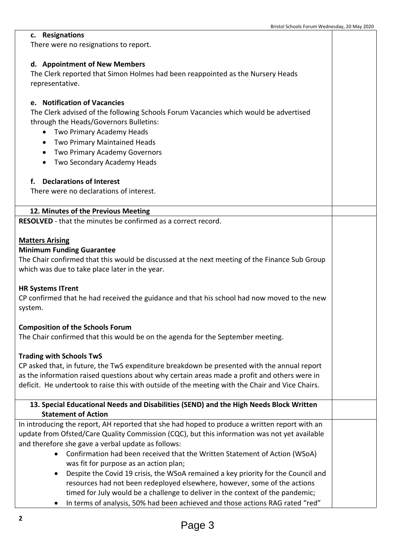#### **c. Resignations**

There were no resignations to report.

#### **d. Appointment of New Members**

The Clerk reported that Simon Holmes had been reappointed as the Nursery Heads representative.

#### **e. Notification of Vacancies**

The Clerk advised of the following Schools Forum Vacancies which would be advertised through the Heads/Governors Bulletins:

- Two Primary Academy Heads
- Two Primary Maintained Heads
- Two Primary Academy Governors
- Two Secondary Academy Heads

#### **f. Declarations of Interest**

There were no declarations of interest.

#### **12. Minutes of the Previous Meeting**

**RESOLVED** - that the minutes be confirmed as a correct record.

#### **Matters Arising**

#### **Minimum Funding Guarantee**

The Chair confirmed that this would be discussed at the next meeting of the Finance Sub Group which was due to take place later in the year.

#### **HR Systems ITrent**

CP confirmed that he had received the guidance and that his school had now moved to the new system.

#### **Composition of the Schools Forum**

The Chair confirmed that this would be on the agenda for the September meeting.

#### **Trading with Schools TwS**

CP asked that, in future, the TwS expenditure breakdown be presented with the annual report as the information raised questions about why certain areas made a profit and others were in deficit. He undertook to raise this with outside of the meeting with the Chair and Vice Chairs.

#### **13. Special Educational Needs and Disabilities (SEND) and the High Needs Block Written Statement of Action**

In introducing the report, AH reported that she had hoped to produce a written report with an update from Ofsted/Care Quality Commission (CQC), but this information was not yet available and therefore she gave a verbal update as follows:

- Confirmation had been received that the Written Statement of Action (WSoA) was fit for purpose as an action plan;
- Despite the Covid 19 crisis, the WSoA remained a key priority for the Council and resources had not been redeployed elsewhere, however, some of the actions timed for July would be a challenge to deliver in the context of the pandemic;
- In terms of analysis, 50% had been achieved and those actions RAG rated "red"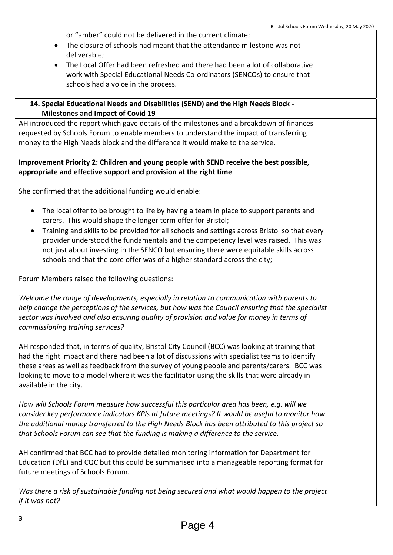| or "amber" could not be delivered in the current climate;                                                                                                                                    |  |
|----------------------------------------------------------------------------------------------------------------------------------------------------------------------------------------------|--|
| The closure of schools had meant that the attendance milestone was not<br>$\bullet$                                                                                                          |  |
| deliverable;                                                                                                                                                                                 |  |
| The Local Offer had been refreshed and there had been a lot of collaborative<br>$\bullet$                                                                                                    |  |
| work with Special Educational Needs Co-ordinators (SENCOs) to ensure that                                                                                                                    |  |
| schools had a voice in the process.                                                                                                                                                          |  |
| 14. Special Educational Needs and Disabilities (SEND) and the High Needs Block -                                                                                                             |  |
| <b>Milestones and Impact of Covid 19</b>                                                                                                                                                     |  |
| AH introduced the report which gave details of the milestones and a breakdown of finances                                                                                                    |  |
| requested by Schools Forum to enable members to understand the impact of transferring                                                                                                        |  |
| money to the High Needs block and the difference it would make to the service.                                                                                                               |  |
| Improvement Priority 2: Children and young people with SEND receive the best possible,                                                                                                       |  |
| appropriate and effective support and provision at the right time                                                                                                                            |  |
|                                                                                                                                                                                              |  |
| She confirmed that the additional funding would enable:                                                                                                                                      |  |
| The local offer to be brought to life by having a team in place to support parents and<br>$\bullet$                                                                                          |  |
| carers. This would shape the longer term offer for Bristol;                                                                                                                                  |  |
| Training and skills to be provided for all schools and settings across Bristol so that every                                                                                                 |  |
| provider understood the fundamentals and the competency level was raised. This was                                                                                                           |  |
| not just about investing in the SENCO but ensuring there were equitable skills across                                                                                                        |  |
| schools and that the core offer was of a higher standard across the city;                                                                                                                    |  |
| Forum Members raised the following questions:                                                                                                                                                |  |
| Welcome the range of developments, especially in relation to communication with parents to                                                                                                   |  |
| help change the perceptions of the services, but how was the Council ensuring that the specialist                                                                                            |  |
| sector was involved and also ensuring quality of provision and value for money in terms of                                                                                                   |  |
| commissioning training services?                                                                                                                                                             |  |
|                                                                                                                                                                                              |  |
| AH responded that, in terms of quality, Bristol City Council (BCC) was looking at training that                                                                                              |  |
| had the right impact and there had been a lot of discussions with specialist teams to identify                                                                                               |  |
| these areas as well as feedback from the survey of young people and parents/carers. BCC was<br>looking to move to a model where it was the facilitator using the skills that were already in |  |
| available in the city.                                                                                                                                                                       |  |
|                                                                                                                                                                                              |  |
| How will Schools Forum measure how successful this particular area has been, e.g. will we                                                                                                    |  |
| consider key performance indicators KPIs at future meetings? It would be useful to monitor how                                                                                               |  |
| the additional money transferred to the High Needs Block has been attributed to this project so                                                                                              |  |
| that Schools Forum can see that the funding is making a difference to the service.                                                                                                           |  |
| AH confirmed that BCC had to provide detailed monitoring information for Department for                                                                                                      |  |
| Education (DfE) and CQC but this could be summarised into a manageable reporting format for                                                                                                  |  |
| future meetings of Schools Forum.                                                                                                                                                            |  |
|                                                                                                                                                                                              |  |
| Was there a risk of sustainable funding not being secured and what would happen to the project<br>if it was not?                                                                             |  |
|                                                                                                                                                                                              |  |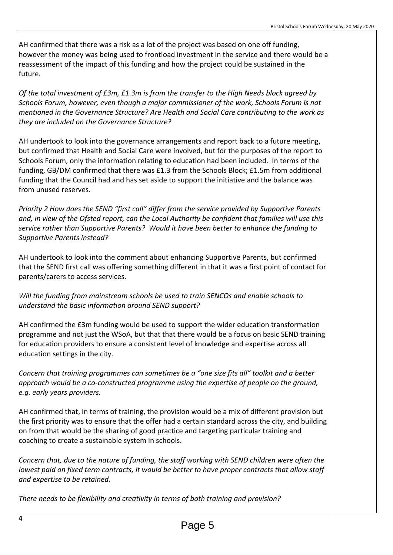AH confirmed that there was a risk as a lot of the project was based on one off funding, however the money was being used to frontload investment in the service and there would be a reassessment of the impact of this funding and how the project could be sustained in the future.

*Of the total investment of £3m, £1.3m is from the transfer to the High Needs block agreed by Schools Forum, however, even though a major commissioner of the work, Schools Forum is not mentioned in the Governance Structure? Are Health and Social Care contributing to the work as they are included on the Governance Structure?*

AH undertook to look into the governance arrangements and report back to a future meeting, but confirmed that Health and Social Care were involved, but for the purposes of the report to Schools Forum, only the information relating to education had been included. In terms of the funding, GB/DM confirmed that there was £1.3 from the Schools Block; £1.5m from additional funding that the Council had and has set aside to support the initiative and the balance was from unused reserves.

*Priority 2 How does the SEND "first call" differ from the service provided by Supportive Parents* and, in view of the Ofsted report, can the Local Authority be confident that families will use this *service rather than Supportive Parents? Would it have been better to enhance the funding to Supportive Parents instead?*

AH undertook to look into the comment about enhancing Supportive Parents, but confirmed that the SEND first call was offering something different in that it was a first point of contact for parents/carers to access services.

*Will the funding from mainstream schools be used to train SENCOs and enable schools to understand the basic information around SEND support?*

AH confirmed the £3m funding would be used to support the wider education transformation programme and not just the WSoA, but that that there would be a focus on basic SEND training for education providers to ensure a consistent level of knowledge and expertise across all education settings in the city.

*Concern that training programmes can sometimes be a "one size fits all" toolkit and a better approach would be a co-constructed programme using the expertise of people on the ground, e.g. early years providers.* 

AH confirmed that, in terms of training, the provision would be a mix of different provision but the first priority was to ensure that the offer had a certain standard across the city, and building on from that would be the sharing of good practice and targeting particular training and coaching to create a sustainable system in schools.

*Concern that, due to the nature of funding, the staff working with SEND children were often the lowest paid on fixed term contracts, it would be better to have proper contracts that allow staff and expertise to be retained.*

*There needs to be flexibility and creativity in terms of both training and provision?*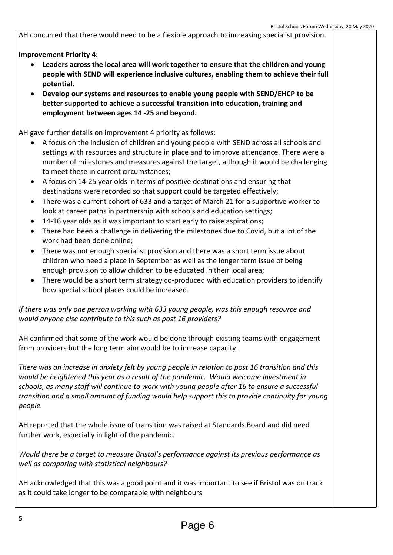AH concurred that there would need to be a flexible approach to increasing specialist provision.

**Improvement Priority 4:**

- **Leaders across the local area will work together to ensure that the children and young people with SEND will experience inclusive cultures, enabling them to achieve their full potential.**
- **Develop our systems and resources to enable young people with SEND/EHCP to be better supported to achieve a successful transition into education, training and employment between ages 14 -25 and beyond.**

AH gave further details on improvement 4 priority as follows:

- A focus on the inclusion of children and young people with SEND across all schools and settings with resources and structure in place and to improve attendance. There were a number of milestones and measures against the target, although it would be challenging to meet these in current circumstances;
- A focus on 14-25 year olds in terms of positive destinations and ensuring that destinations were recorded so that support could be targeted effectively;
- There was a current cohort of 633 and a target of March 21 for a supportive worker to look at career paths in partnership with schools and education settings;
- 14-16 year olds as it was important to start early to raise aspirations;
- There had been a challenge in delivering the milestones due to Covid, but a lot of the work had been done online;
- There was not enough specialist provision and there was a short term issue about children who need a place in September as well as the longer term issue of being enough provision to allow children to be educated in their local area;
- There would be a short term strategy co-produced with education providers to identify how special school places could be increased.

*If there was only one person working with 633 young people, was this enough resource and would anyone else contribute to this such as post 16 providers?*

AH confirmed that some of the work would be done through existing teams with engagement from providers but the long term aim would be to increase capacity.

*There was an increase in anxiety felt by young people in relation to post 16 transition and this would be heightened this year as a result of the pandemic. Would welcome investment in schools, as many staff will continue to work with young people after 16 to ensure a successful transition and a small amount of funding would help support this to provide continuity for young people.*

AH reported that the whole issue of transition was raised at Standards Board and did need further work, especially in light of the pandemic.

*Would there be a target to measure Bristol's performance against its previous performance as well as comparing with statistical neighbours?*

AH acknowledged that this was a good point and it was important to see if Bristol was on track as it could take longer to be comparable with neighbours.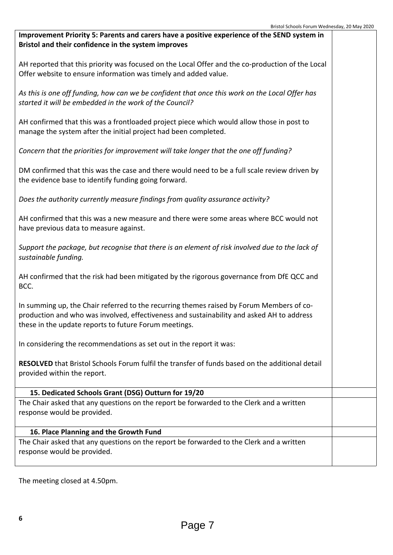# **Improvement Priority 5: Parents and carers have a positive experience of the SEND system in Bristol and their confidence in the system improves** AH reported that this priority was focused on the Local Offer and the co-production of the Local Offer website to ensure information was timely and added value. As this is one off funding, how can we be confident that once this work on the Local Offer has *started it will be embedded in the work of the Council?* AH confirmed that this was a frontloaded project piece which would allow those in post to manage the system after the initial project had been completed. *Concern that the priorities for improvement will take longer that the one off funding?* DM confirmed that this was the case and there would need to be a full scale review driven by the evidence base to identify funding going forward. *Does the authority currently measure findings from quality assurance activity?* AH confirmed that this was a new measure and there were some areas where BCC would not have previous data to measure against. *Support the package, but recognise that there is an element of risk involved due to the lack of sustainable funding.* AH confirmed that the risk had been mitigated by the rigorous governance from DfE QCC and BCC. In summing up, the Chair referred to the recurring themes raised by Forum Members of coproduction and who was involved, effectiveness and sustainability and asked AH to address these in the update reports to future Forum meetings. In considering the recommendations as set out in the report it was: **RESOLVED** that Bristol Schools Forum fulfil the transfer of funds based on the additional detail provided within the report. **15. Dedicated Schools Grant (DSG) Outturn for 19/20** The Chair asked that any questions on the report be forwarded to the Clerk and a written response would be provided. **16. Place Planning and the Growth Fund** The Chair asked that any questions on the report be forwarded to the Clerk and a written response would be provided.

The meeting closed at 4.50pm.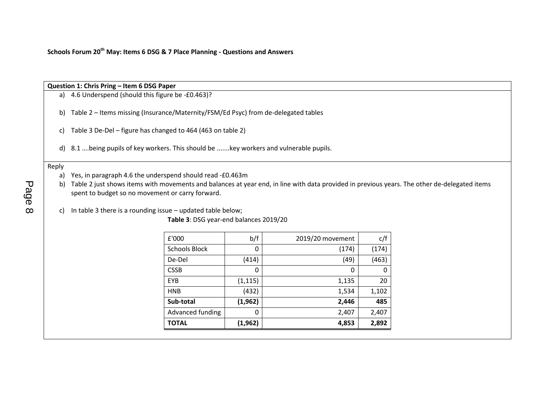|       | Question 1: Chris Pring - Item 6 DSG Paper                                              |  |  |  |  |
|-------|-----------------------------------------------------------------------------------------|--|--|--|--|
| a)    | 4.6 Underspend (should this figure be -£0.463)?                                         |  |  |  |  |
|       | b) Table 2 – Items missing (Insurance/Maternity/FSM/Ed Psyc) from de-delegated tables   |  |  |  |  |
| C)    | Table 3 De-Del – figure has changed to 464 (463 on table 2)                             |  |  |  |  |
|       | d) 8.1  being pupils of key workers. This should be  key workers and vulnerable pupils. |  |  |  |  |
| Reply |                                                                                         |  |  |  |  |

- a) Yes, in paragraph 4.6 the underspend should read -£0.463m
- b) Table 2 just shows items with movements and balances at year end, in line with data provided in previous years. The other de-delegated items spent to budget so no movement or carry forward.
- c) In table 3 there is a rounding issue updated table below;

**Table 3**: DSG year-end balances 2019/20

| £'000                | b/f      | 2019/20 movement | c/f   |
|----------------------|----------|------------------|-------|
| <b>Schools Block</b> | 0        | (174)            | (174) |
| De-Del               | (414)    | (49)             | (463) |
| <b>CSSB</b>          | 0        | 0                |       |
| EYB                  | (1, 115) | 1,135            | 20    |
| <b>HNB</b>           | (432)    | 1,534            | 1,102 |
| Sub-total            | (1, 962) | 2,446            | 485   |
| Advanced funding     | 0        | 2,407            | 2,407 |
| <b>TOTAL</b>         | (1,962)  | 4,853            | 2,892 |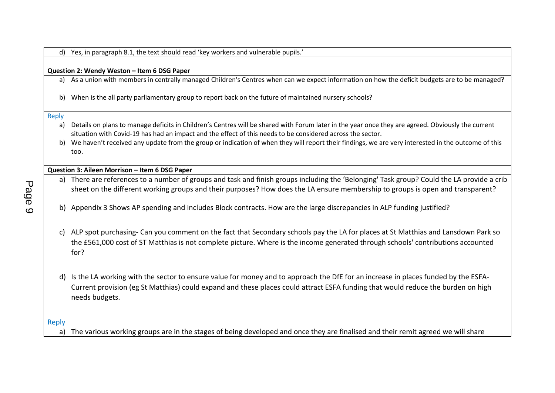|  |  |  | d) Yes, in paragraph 8.1, the text should read 'key workers and vulnerable pupils.' |  |
|--|--|--|-------------------------------------------------------------------------------------|--|
|--|--|--|-------------------------------------------------------------------------------------|--|

#### **Question 2: Wendy Weston – Item 6 DSG Paper**

- a) As a union with members in centrally managed Children's Centres when can we expect information on how the deficit budgets are to be managed?
- b) When is the all party parliamentary group to report back on the future of maintained nursery schools?

#### Reply

- a) Details on plans to manage deficits in Children's Centres will be shared with Forum later in the year once they are agreed. Obviously the current situation with Covid-19 has had an impact and the effect of this needs to be considered across the sector.
- b) We haven't received any update from the group or indication of when they will report their findings, we are very interested in the outcome of this too.

#### **Question 3: Aileen Morrison – Item 6 DSG Paper**

- a) There are references to a number of groups and task and finish groups including the 'Belonging' Task group? Could the LA provide a crib sheet on the different working groups and their purposes? How does the LA ensure membership to groups is open and transparent?
- b) Appendix 3 Shows AP spending and includes Block contracts. How are the large discrepancies in ALP funding justified?
- c) ALP spot purchasing- Can you comment on the fact that Secondary schools pay the LA for places at St Matthias and Lansdown Park so the £561,000 cost of ST Matthias is not complete picture. Where is the income generated through schools' contributions accounted for?
- d) Is the LA working with the sector to ensure value for money and to approach the DfE for an increase in places funded by the ESFA-Current provision (eg St Matthias) could expand and these places could attract ESFA funding that would reduce the burden on high needs budgets.

#### Reply

a) The various working groups are in the stages of being developed and once they are finalised and their remit agreed we will share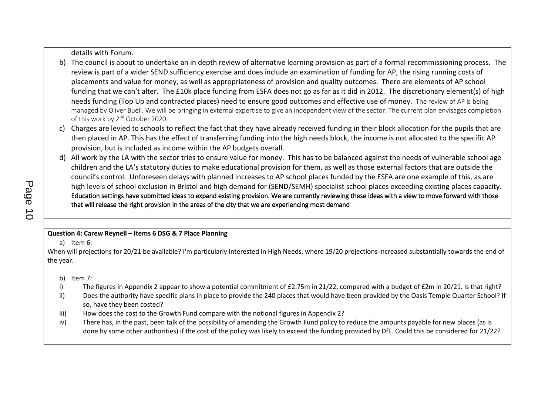details with Forum.

- b) The council is about to undertake an in depth review of alternative learning provision as part of a formal recommissioning process. The review is part of a wider SEND sufficiency exercise and does include an examination of funding for AP, the rising running costs of placements and value for money, as well as appropriateness of provision and quality outcomes. There are elements of AP school funding that we can't alter. The £10k place funding from ESFA does not go as far as it did in 2012. The discretionary element(s) of high needs funding (Top Up and contracted places) need to ensure good outcomes and effective use of money. The review of AP is being managed by Oliver Buell. We will be bringing in external expertise to give an independent view of the sector. The current plan envisages completion of this work by 2<sup>nd</sup> October 2020.
- c) Charges are levied to schools to reflect the fact that they have already received funding in their block allocation for the pupils that are then placed in AP. This has the effect of transferring funding into the high needs block, the income is not allocated to the specific AP provision, but is included as income within the AP budgets overall.
- d) All work by the LA with the sector tries to ensure value for money. This has to be balanced against the needs of vulnerable school age children and the LA's statutory duties to make educational provision for them, as well as those external factors that are outside the council's control. Unforeseen delays with planned increases to AP school places funded by the ESFA are one example of this, as are high levels of school exclusion in Bristol and high demand for (SEND/SEMH) specialist school places exceeding existing places capacity. Education settings have submitted ideas to expand existing provision. We are currently reviewing these ideas with a view to move forward with those that will release the right provision in the areas of the city that we are experiencing most demand

#### **Question 4: Carew Reynell – Items 6 DSG & 7 Place Planning**

a) Item 6:

When will projections for 20/21 be available? I'm particularly interested in High Needs, where 19/20 projections increased substantially towards the end of the year.

- b) Item 7:
- i) The figures in Appendix 2 appear to show a potential commitment of £2.75m in 21/22, compared with a budget of £2m in 20/21. Is that right?
- ii) Does the authority have specific plans in place to provide the 240 places that would have been provided by the Oasis Temple Quarter School? If so, have they been costed?
- iii) How does the cost to the Growth Fund compare with the notional figures in Appendix 2?
- iv) There has, in the past, been talk of the possibility of amending the Growth Fund policy to reduce the amounts payable for new places (as is done by some other authorities) if the cost of the policy was likely to exceed the funding provided by DfE. Could this be considered for 21/22?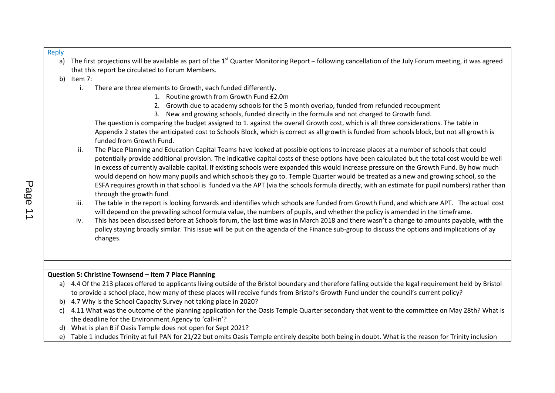#### Reply

- a) The first projections will be available as part of the 1<sup>st</sup> Quarter Monitoring Report following cancellation of the July Forum meeting, it was agreed that this report be circulated to Forum Members.
- b) Item 7:
	- i. There are three elements to Growth, each funded differently.
		- 1. Routine growth from Growth Fund £2.0m
		- 2. Growth due to academy schools for the 5 month overlap, funded from refunded recoupment
		- 3. New and growing schools, funded directly in the formula and not charged to Growth fund.

The question is comparing the budget assigned to 1. against the overall Growth cost, which is all three considerations. The table in Appendix 2 states the anticipated cost to Schools Block, which is correct as all growth is funded from schools block, but not all growth is funded from Growth Fund.

- ii. The Place Planning and Education Capital Teams have looked at possible options to increase places at a number of schools that could potentially provide additional provision. The indicative capital costs of these options have been calculated but the total cost would be well in excess of currently available capital. If existing schools were expanded this would increase pressure on the Growth Fund. By how much would depend on how many pupils and which schools they go to. Temple Quarter would be treated as a new and growing school, so the ESFA requires growth in that school is funded via the APT (via the schools formula directly, with an estimate for pupil numbers) rather than through the growth fund.
- iii. The table in the report is looking forwards and identifies which schools are funded from Growth Fund, and which are APT. The actual cost will depend on the prevailing school formula value, the numbers of pupils, and whether the policy is amended in the timeframe.
- iv. This has been discussed before at Schools forum, the last time was in March 2018 and there wasn't a change to amounts payable, with the policy staying broadly similar. This issue will be put on the agenda of the Finance sub-group to discuss the options and implications of ay changes.

#### **Question 5: Christine Townsend – Item 7 Place Planning**

- a) 4.4 Of the 213 places offered to applicants living outside of the Bristol boundary and therefore falling outside the legal requirement held by Bristol to provide a school place, how many of these places will receive funds from Bristol's Growth Fund under the council's current policy?
- b) 4.7 Why is the School Capacity Survey not taking place in 2020?
- c) 4.11 What was the outcome of the planning application for the Oasis Temple Quarter secondary that went to the committee on May 28th? What is the deadline for the Environment Agency to 'call-in'?
- d) What is plan B if Oasis Temple does not open for Sept 2021?
- e) Table 1 includes Trinity at full PAN for 21/22 but omits Oasis Temple entirely despite both being in doubt. What is the reason for Trinity inclusion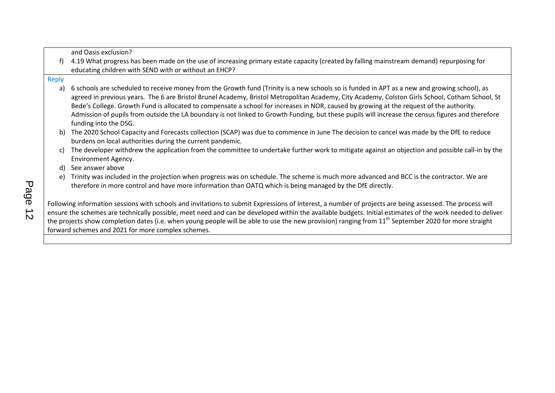and Oasis exclusion?

f) 4.19 What progress has been made on the use of increasing primary estate capacity (created by falling mainstream demand) repurposing for educating children with SEND with or without an EHCP?

#### Reply

- a) 6 schools are scheduled to receive money from the Growth fund (Trinity is a new schools so is funded in APT as a new and growing school), as agreed in previous years. The 6 are Bristol Brunel Academy, Bristol Metropolitan Academy, City Academy, Colston Girls School, Cotham School, St Bede's College. Growth Fund is allocated to compensate a school for increases in NOR, caused by growing at the request of the authority. Admission of pupils from outside the LA boundary is not linked to Growth Funding, but these pupils will increase the census figures and therefore funding into the DSG.
- b) The 2020 School Capacity and Forecasts collection (SCAP) was due to commence in June The decision to cancel was made by the DfE to reduce burdens on local authorities during the current pandemic.
- c) The developer withdrew the application from the committee to undertake further work to mitigate against an objection and possible call-in by the Environment Agency.
- d) See answer above
- e) Trinity was included in the projection when progress was on schedule. The scheme is much more advanced and BCC is the contractor. We are therefore in more control and have more information than OATQ which is being managed by the DfE directly.

Following information sessions with schools and invitations to submit Expressions of Interest, a number of projects are being assessed. The process will ensure the schemes are technically possible, meet need and can be developed within the available budgets. Initial estimates of the work needed to deliver the projects show completion dates (i.e. when young people will be able to use the new provision) ranging from 11<sup>th</sup> September 2020 for more straight forward schemes and 2021 for more complex schemes.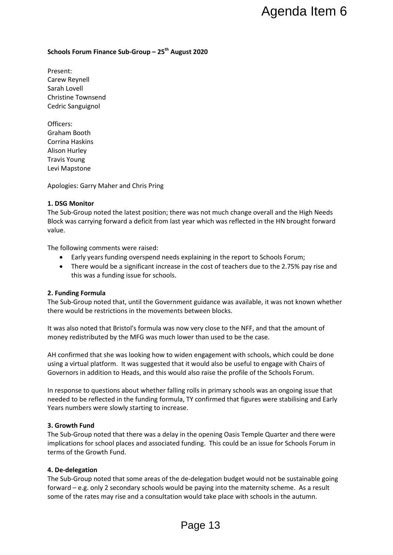#### **Schools Forum Finance Sub-Group – 25th August 2020**

Present: Carew Reynell Sarah Lovell Christine Townsend Cedric Sanguignol

Officers: Graham Booth Corrina Haskins Alison Hurley Travis Young Levi Mapstone

Apologies: Garry Maher and Chris Pring

#### **1. DSG Monitor**

The Sub-Group noted the latest position; there was not much change overall and the High Needs Block was carrying forward a deficit from last year which was reflected in the HN brought forward value.

The following comments were raised:

- Early years funding overspend needs explaining in the report to Schools Forum;
- There would be a significant increase in the cost of teachers due to the 2.75% pay rise and this was a funding issue for schools.

#### **2. Funding Formula**

The Sub-Group noted that, until the Government guidance was available, it was not known whether there would be restrictions in the movements between blocks.

It was also noted that Bristol's formula was now very close to the NFF, and that the amount of money redistributed by the MFG was much lower than used to be the case.

AH confirmed that she was looking how to widen engagement with schools, which could be done using a virtual platform. It was suggested that it would also be useful to engage with Chairs of Governors in addition to Heads, and this would also raise the profile of the Schools Forum.

In response to questions about whether falling rolls in primary schools was an ongoing issue that needed to be reflected in the funding formula, TY confirmed that figures were stabilising and Early Years numbers were slowly starting to increase. **Agenda Item 6**<br>**Agenda Item 6**<br>**Agenda Item 6**<br>**Agenda Item 6**<br>**Example 13** Agents was reflected in the HN brought forward<br>**explaining in the report to Schools Forum;**<br>in the cost of teachers due to the 2.75% pay rise and

#### **3. Growth Fund**

The Sub-Group noted that there was a delay in the opening Oasis Temple Quarter and there were implications for school places and associated funding. This could be an issue for Schools Forum in terms of the Growth Fund.

#### **4. De-delegation**

The Sub-Group noted that some areas of the de-delegation budget would not be sustainable going forward – e.g. only 2 secondary schools would be paying into the maternity scheme. As a result some of the rates may rise and a consultation would take place with schools in the autumn.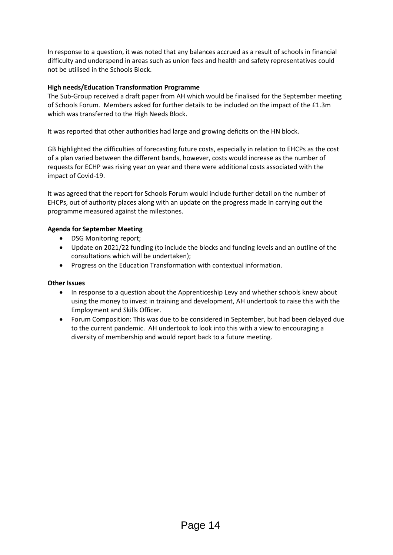In response to a question, it was noted that any balances accrued as a result of schools in financial difficulty and underspend in areas such as union fees and health and safety representatives could not be utilised in the Schools Block.

#### **High needs/Education Transformation Programme**

The Sub-Group received a draft paper from AH which would be finalised for the September meeting of Schools Forum. Members asked for further details to be included on the impact of the £1.3m which was transferred to the High Needs Block.

It was reported that other authorities had large and growing deficits on the HN block.

GB highlighted the difficulties of forecasting future costs, especially in relation to EHCPs as the cost of a plan varied between the different bands, however, costs would increase as the number of requests for ECHP was rising year on year and there were additional costs associated with the impact of Covid-19.

It was agreed that the report for Schools Forum would include further detail on the number of EHCPs, out of authority places along with an update on the progress made in carrying out the programme measured against the milestones.

#### **Agenda for September Meeting**

- DSG Monitoring report;
- Update on 2021/22 funding (to include the blocks and funding levels and an outline of the consultations which will be undertaken);
- Progress on the Education Transformation with contextual information.

#### **Other Issues**

- In response to a question about the Apprenticeship Levy and whether schools knew about using the money to invest in training and development, AH undertook to raise this with the Employment and Skills Officer.
- Forum Composition: This was due to be considered in September, but had been delayed due to the current pandemic. AH undertook to look into this with a view to encouraging a diversity of membership and would report back to a future meeting.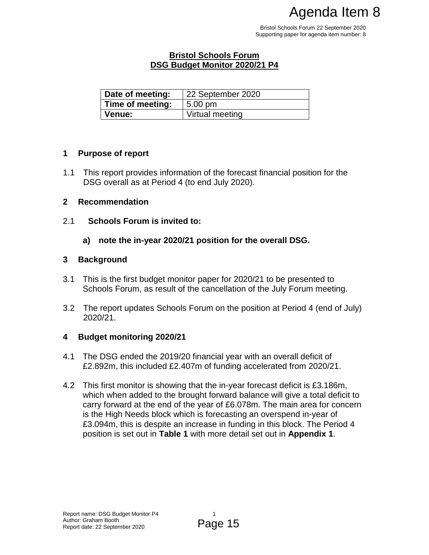Bristol Schools Forum 22 September 2020 Supporting paper for agenda item number: 8

#### **Bristol Schools Forum DSG Budget Monitor 2020/21 P4**

| Date of meeting: | 22 September 2020 |  |  |
|------------------|-------------------|--|--|
| Time of meeting: | 5.00 pm           |  |  |
| <b>Venue:</b>    | Virtual meeting   |  |  |

#### **1 Purpose of report**

1.1 This report provides information of the forecast financial position for the DSG overall as at Period 4 (to end July 2020).

#### **2 Recommendation**

- 2.1 **Schools Forum is invited to:**
	- **a) note the in-year 2020/21 position for the overall DSG.**

#### **3 Background**

- 3.1 This is the first budget monitor paper for 2020/21 to be presented to Schools Forum, as result of the cancellation of the July Forum meeting.
- 3.2 The report updates Schools Forum on the position at Period 4 (end of July) 2020/21.

#### **4 Budget monitoring 2020/21**

- 4.1 The DSG ended the 2019/20 financial year with an overall deficit of £2.892m, this included £2.407m of funding accelerated from 2020/21.
- 4.2 This first monitor is showing that the in-year forecast deficit is £3.186m, which when added to the brought forward balance will give a total deficit to carry forward at the end of the year of £6.078m. The main area for concern is the High Needs block which is forecasting an overspend in-year of £3.094m, this is despite an increase in funding in this block. The Period 4 position is set out in **Table 1** with more detail set out in **Appendix 1**. Agenda Item 8<br>
Simula Schools Forum 22 September 2020<br>
Schools Forum<br>
Monitor 2020/21 P4<br>
September 2020<br>
0 pm<br>
In the forecast financial position for the<br>
not the forecast financial position for the<br>
end July 2020).<br>
.<br>
.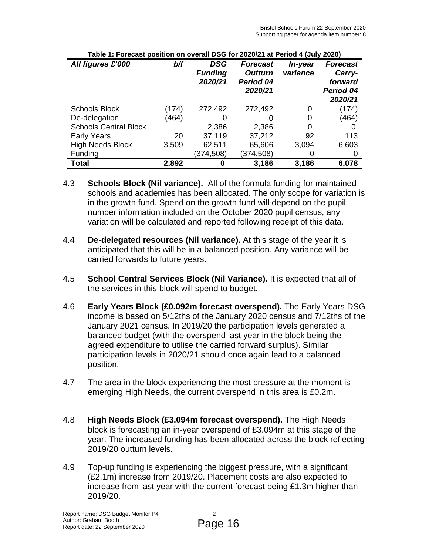| All figures £'000            | b/f   | DSG<br><b>Funding</b><br>2020/21 | <b>Forecast</b><br><b>Outturn</b><br>Period 04<br>2020/21 | In-year<br>variance | <b>Forecast</b><br>Carry-<br>forward<br>Period 04<br>2020/21 |
|------------------------------|-------|----------------------------------|-----------------------------------------------------------|---------------------|--------------------------------------------------------------|
| <b>Schools Block</b>         | (174) | 272,492                          | 272,492                                                   | 0                   | (174)                                                        |
| De-delegation                | (464) |                                  |                                                           | 0                   | (464)                                                        |
| <b>Schools Central Block</b> |       | 2,386                            | 2,386                                                     | 0                   |                                                              |
| Early Years                  | 20    | 37,119                           | 37,212                                                    | 92                  | 113                                                          |
| <b>High Needs Block</b>      | 3,509 | 62,511                           | 65,606                                                    | 3,094               | 6,603                                                        |
| Funding                      |       | (374, 508)                       | (374, 508)                                                |                     |                                                              |
| <b>Total</b>                 | 2,892 |                                  | 3,186                                                     | 3,186               | 6,078                                                        |

| Table 1: Forecast position on overall DSG for 2020/21 at Period 4 (July 2020) |  |  |
|-------------------------------------------------------------------------------|--|--|
|-------------------------------------------------------------------------------|--|--|

- 4.3 **Schools Block (Nil variance).** All of the formula funding for maintained schools and academies has been allocated. The only scope for variation is in the growth fund. Spend on the growth fund will depend on the pupil number information included on the October 2020 pupil census, any variation will be calculated and reported following receipt of this data.
- 4.4 **De-delegated resources (Nil variance).** At this stage of the year it is anticipated that this will be in a balanced position. Any variance will be carried forwards to future years.
- 4.5 **School Central Services Block (Nil Variance).** It is expected that all of the services in this block will spend to budget.
- 4.6 **Early Years Block (£0.092m forecast overspend).** The Early Years DSG income is based on 5/12ths of the January 2020 census and 7/12ths of the January 2021 census. In 2019/20 the participation levels generated a balanced budget (with the overspend last year in the block being the agreed expenditure to utilise the carried forward surplus). Similar participation levels in 2020/21 should once again lead to a balanced position.
- 4.7 The area in the block experiencing the most pressure at the moment is emerging High Needs, the current overspend in this area is £0.2m.
- 4.8 **High Needs Block (£3.094m forecast overspend).** The High Needs block is forecasting an in-year overspend of £3.094m at this stage of the year. The increased funding has been allocated across the block reflecting 2019/20 outturn levels.
- 4.9 Top-up funding is experiencing the biggest pressure, with a significant (£2.1m) increase from 2019/20. Placement costs are also expected to increase from last year with the current forecast being £1.3m higher than 2019/20.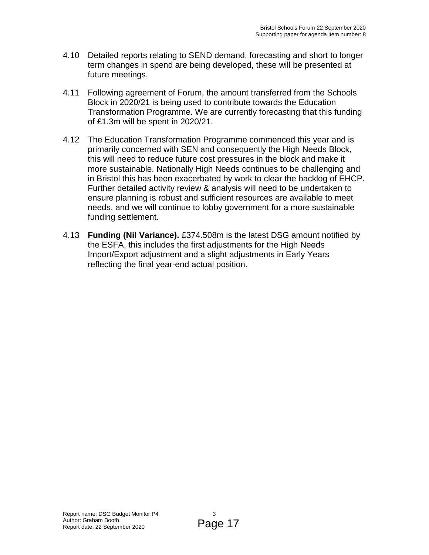- 4.10 Detailed reports relating to SEND demand, forecasting and short to longer term changes in spend are being developed, these will be presented at future meetings.
- 4.11 Following agreement of Forum, the amount transferred from the Schools Block in 2020/21 is being used to contribute towards the Education Transformation Programme. We are currently forecasting that this funding of £1.3m will be spent in 2020/21.
- 4.12 The Education Transformation Programme commenced this year and is primarily concerned with SEN and consequently the High Needs Block, this will need to reduce future cost pressures in the block and make it more sustainable. Nationally High Needs continues to be challenging and in Bristol this has been exacerbated by work to clear the backlog of EHCP. Further detailed activity review & analysis will need to be undertaken to ensure planning is robust and sufficient resources are available to meet needs, and we will continue to lobby government for a more sustainable funding settlement.
- 4.13 **Funding (Nil Variance).** £374.508m is the latest DSG amount notified by the ESFA, this includes the first adjustments for the High Needs Import/Export adjustment and a slight adjustments in Early Years reflecting the final year-end actual position.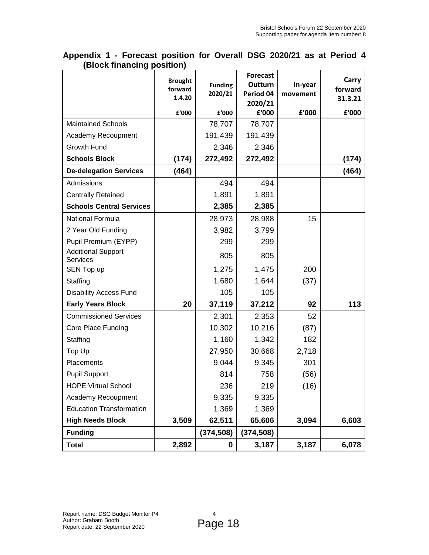|                                       | <b>Brought</b><br>forward<br>1.4.20 | <b>Funding</b><br>2020/21 | <b>Forecast</b><br>Outturn<br>Period 04<br>2020/21 | In-year<br>movement | Carry<br>forward<br>31.3.21 |
|---------------------------------------|-------------------------------------|---------------------------|----------------------------------------------------|---------------------|-----------------------------|
|                                       | £'000                               | £'000                     | £'000                                              | £'000               | £'000                       |
| <b>Maintained Schools</b>             |                                     | 78,707                    | 78,707                                             |                     |                             |
| Academy Recoupment                    |                                     | 191,439                   | 191,439                                            |                     |                             |
| Growth Fund                           |                                     | 2,346                     | 2,346                                              |                     |                             |
| <b>Schools Block</b>                  | (174)                               | 272,492                   | 272,492                                            |                     | (174)                       |
| <b>De-delegation Services</b>         | (464)                               |                           |                                                    |                     | (464)                       |
| Admissions                            |                                     | 494                       | 494                                                |                     |                             |
| <b>Centrally Retained</b>             |                                     | 1,891                     | 1,891                                              |                     |                             |
| <b>Schools Central Services</b>       |                                     | 2,385                     | 2,385                                              |                     |                             |
| <b>National Formula</b>               |                                     | 28,973                    | 28,988                                             | 15                  |                             |
| 2 Year Old Funding                    |                                     | 3,982                     | 3,799                                              |                     |                             |
| Pupil Premium (EYPP)                  |                                     | 299                       | 299                                                |                     |                             |
| <b>Additional Support</b><br>Services |                                     | 805                       | 805                                                |                     |                             |
| SEN Top up                            |                                     | 1,275                     | 1,475                                              | 200                 |                             |
| Staffing                              |                                     | 1,680                     | 1,644                                              | (37)                |                             |
| <b>Disability Access Fund</b>         |                                     | 105                       | 105                                                |                     |                             |
| <b>Early Years Block</b>              | 20                                  | 37,119                    | 37,212                                             | 92                  | 113                         |
| <b>Commissioned Services</b>          |                                     | 2,301                     | 2,353                                              | 52                  |                             |
| Core Place Funding                    |                                     | 10,302                    | 10,216                                             | (87)                |                             |
| Staffing                              |                                     | 1,160                     | 1,342                                              | 182                 |                             |
| Top Up                                |                                     | 27,950                    | 30,668                                             | 2,718               |                             |
| Placements                            |                                     | 9,044                     | 9,345                                              | 301                 |                             |
| <b>Pupil Support</b>                  |                                     | 814                       | 758                                                | (56)                |                             |
| <b>HOPE Virtual School</b>            |                                     | 236                       | 219                                                | (16)                |                             |
| Academy Recoupment                    |                                     | 9,335                     | 9,335                                              |                     |                             |
| <b>Education Transformation</b>       |                                     | 1,369                     | 1,369                                              |                     |                             |
| <b>High Needs Block</b>               | 3,509                               | 62,511                    | 65,606                                             | 3,094               | 6,603                       |
| <b>Funding</b>                        |                                     | (374, 508)                | (374, 508)                                         |                     |                             |
| <b>Total</b>                          | 2,892                               | 0                         | 3,187                                              | 3,187               | 6,078                       |

#### **Appendix 1 - Forecast position for Overall DSG 2020/21 as at Period 4 (Block financing position)**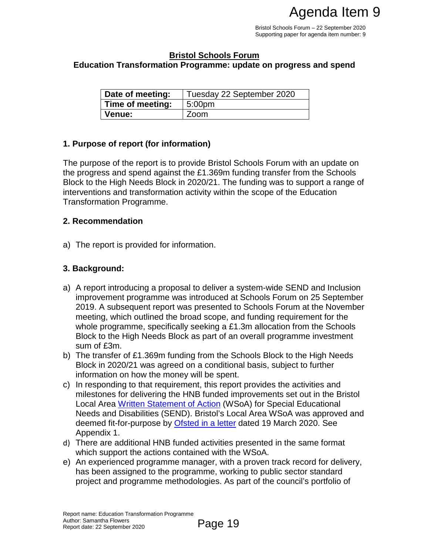Bristol Schools Forum – 22 September 2020 Supporting paper for agenda item number: 9

#### **Bristol Schools Forum Education Transformation Programme: update on progress and spend**

| Date of meeting: | Tuesday 22 September 2020 |
|------------------|---------------------------|
| Time of meeting: | 5:00 <sub>pm</sub>        |
| <b>Venue:</b>    | Zoom                      |

#### **1. Purpose of report (for information)**

The purpose of the report is to provide Bristol Schools Forum with an update on the progress and spend against the £1.369m funding transfer from the Schools Block to the High Needs Block in 2020/21. The funding was to support a range of interventions and transformation activity within the scope of the Education Transformation Programme.

#### **2. Recommendation**

a) The report is provided for information.

#### **3. Background:**

- a) A report introducing a proposal to deliver a system-wide SEND and Inclusion improvement programme was introduced at Schools Forum on 25 September 2019. A subsequent report was presented to Schools Forum at the November meeting, which outlined the broad scope, and funding requirement for the whole programme, specifically seeking a £1.3m allocation from the Schools Block to the High Needs Block as part of an overall programme investment sum of £3m. Agenda Item 9<br>
Bissions Forum - 22 September 2020<br>
Schools Forum<br>
Tramme: update on progress and spend<br>
Schools Forum<br>
Tramme: update on progress and spend<br>
Besiday 22 September 2020<br>
Opm<br>
Don)<br>
On<br>
Don<br>
Don<br>
Don<br>
Don<br>
Don
- b) The transfer of £1.369m funding from the Schools Block to the High Needs Block in 2020/21 was agreed on a conditional basis, subject to further information on how the money will be spent.
- c) In responding to that requirement, this report provides the activities and milestones for delivering the HNB funded improvements set out in the Bristol Local Area [Written Statement of Action](https://www.bristol.gov.uk/documents/20182/4223365/Bristol+Local+Area+SEND+WSOA+approved+by+Ofsted.pdf/56fc619d-d886-7cac-6f37-9ad4bd749e35) (WSoA) for Special Educational Needs and Disabilities (SEND). Bristol's Local Area WSoA was approved and deemed fit-for-purpose by [Ofsted in a letter](https://www.bristol.gov.uk/documents/20182/4223365/Bristol+LASEND+WSoA+Fit+for+Purpose+confirmation+letter+from+Ofsted+2020.pdf/099e53ab-0232-525b-6564-c17e57e873e7) dated 19 March 2020. See Appendix 1.
- d) There are additional HNB funded activities presented in the same format which support the actions contained with the WSoA.
- e) An experienced programme manager, with a proven track record for delivery, has been assigned to the programme, working to public sector standard project and programme methodologies. As part of the council's portfolio of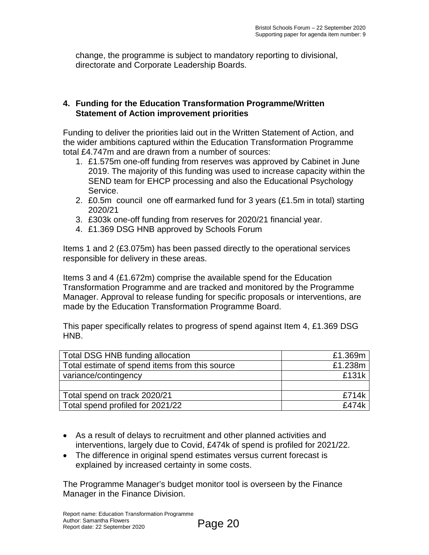change, the programme is subject to mandatory reporting to divisional, directorate and Corporate Leadership Boards.

#### **4. Funding for the Education Transformation Programme/Written Statement of Action improvement priorities**

Funding to deliver the priorities laid out in the Written Statement of Action, and the wider ambitions captured within the Education Transformation Programme total £4.747m and are drawn from a number of sources:

- 1. £1.575m one-off funding from reserves was approved by Cabinet in June 2019. The majority of this funding was used to increase capacity within the SEND team for EHCP processing and also the Educational Psychology Service.
- 2. £0.5m council one off earmarked fund for 3 years (£1.5m in total) starting 2020/21
- 3. £303k one-off funding from reserves for 2020/21 financial year.
- 4. £1.369 DSG HNB approved by Schools Forum

Items 1 and 2 (£3.075m) has been passed directly to the operational services responsible for delivery in these areas.

Items 3 and 4 (£1.672m) comprise the available spend for the Education Transformation Programme and are tracked and monitored by the Programme Manager. Approval to release funding for specific proposals or interventions, are made by the Education Transformation Programme Board.

This paper specifically relates to progress of spend against Item 4, £1.369 DSG HNB.

| Total DSG HNB funding allocation               | £1.369m |
|------------------------------------------------|---------|
| Total estimate of spend items from this source | £1.238m |
| variance/contingency                           | £131k   |
|                                                |         |
| Total spend on track 2020/21                   | £714k   |
| Total spend profiled for 2021/22               | £474k   |

- As a result of delays to recruitment and other planned activities and interventions, largely due to Covid, £474k of spend is profiled for 2021/22.
- The difference in original spend estimates versus current forecast is explained by increased certainty in some costs.

The Programme Manager's budget monitor tool is overseen by the Finance Manager in the Finance Division.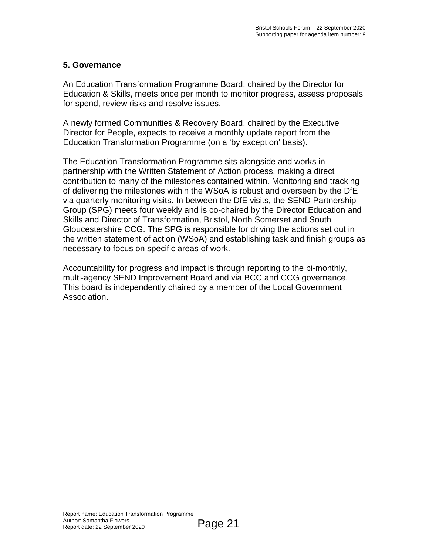### **5. Governance**

An Education Transformation Programme Board, chaired by the Director for Education & Skills, meets once per month to monitor progress, assess proposals for spend, review risks and resolve issues.

A newly formed Communities & Recovery Board, chaired by the Executive Director for People, expects to receive a monthly update report from the Education Transformation Programme (on a 'by exception' basis).

The Education Transformation Programme sits alongside and works in partnership with the Written Statement of Action process, making a direct contribution to many of the milestones contained within. Monitoring and tracking of delivering the milestones within the WSoA is robust and overseen by the DfE via quarterly monitoring visits. In between the DfE visits, the SEND Partnership Group (SPG) meets four weekly and is co-chaired by the Director Education and Skills and Director of Transformation, Bristol, North Somerset and South Gloucestershire CCG. The SPG is responsible for driving the actions set out in the written statement of action (WSoA) and establishing task and finish groups as necessary to focus on specific areas of work.

Accountability for progress and impact is through reporting to the bi-monthly, multi-agency SEND Improvement Board and via BCC and CCG governance. This board is independently chaired by a member of the Local Government Association.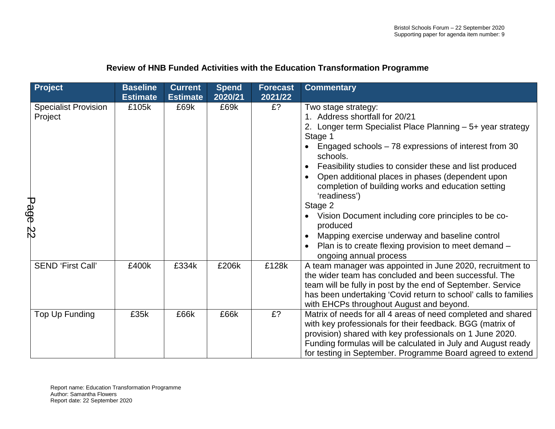|         | <b>Project</b>                         | <b>Baseline</b><br><b>Estimate</b> | <b>Current</b><br><b>Estimate</b> | <b>Spend</b><br>2020/21 | <b>Forecast</b><br>2021/22 | <b>Commentary</b>                                                                                                                                                                                                                                                                                                                                                                                                                                                                                                                                                                                                                                              |
|---------|----------------------------------------|------------------------------------|-----------------------------------|-------------------------|----------------------------|----------------------------------------------------------------------------------------------------------------------------------------------------------------------------------------------------------------------------------------------------------------------------------------------------------------------------------------------------------------------------------------------------------------------------------------------------------------------------------------------------------------------------------------------------------------------------------------------------------------------------------------------------------------|
| Page 22 | <b>Specialist Provision</b><br>Project | £105k                              | £69k                              | £69k                    | £?                         | Two stage strategy:<br>1. Address shortfall for 20/21<br>2. Longer term Specialist Place Planning - 5+ year strategy<br>Stage 1<br>Engaged schools - 78 expressions of interest from 30<br>schools.<br>Feasibility studies to consider these and list produced<br>$\bullet$<br>Open additional places in phases (dependent upon<br>$\bullet$<br>completion of building works and education setting<br>'readiness')<br>Stage 2<br>Vision Document including core principles to be co-<br>$\bullet$<br>produced<br>Mapping exercise underway and baseline control<br>$\bullet$<br>Plan is to create flexing provision to meet demand -<br>ongoing annual process |
|         | <b>SEND 'First Call'</b>               | £400k                              | £334k                             | £206k                   | £128k                      | A team manager was appointed in June 2020, recruitment to<br>the wider team has concluded and been successful. The<br>team will be fully in post by the end of September. Service<br>has been undertaking 'Covid return to school' calls to families<br>with EHCPs throughout August and beyond.                                                                                                                                                                                                                                                                                                                                                               |
|         | Top Up Funding                         | £35k                               | £66k                              | £66k                    | £?                         | Matrix of needs for all 4 areas of need completed and shared<br>with key professionals for their feedback. BGG (matrix of<br>provision) shared with key professionals on 1 June 2020.<br>Funding formulas will be calculated in July and August ready<br>for testing in September. Programme Board agreed to extend                                                                                                                                                                                                                                                                                                                                            |

#### **Review of HNB Funded Activities with the Education Transformation Programme**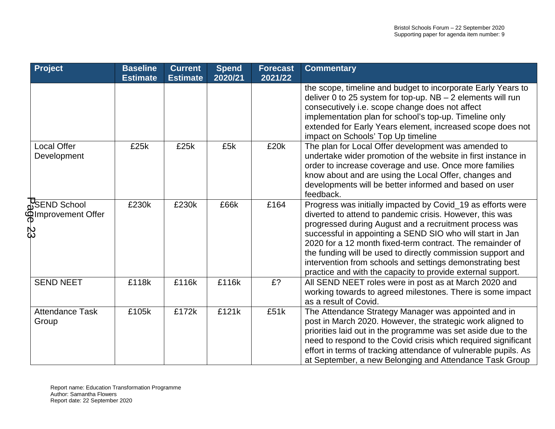| <b>Project</b>                                         | <b>Baseline</b><br><b>Estimate</b> | <b>Current</b><br><b>Estimate</b> | <b>Spend</b><br>2020/21 | <b>Forecast</b><br>2021/22 | <b>Commentary</b>                                                                                                                                                                                                                                                                                                                                                                                                                                                                                      |
|--------------------------------------------------------|------------------------------------|-----------------------------------|-------------------------|----------------------------|--------------------------------------------------------------------------------------------------------------------------------------------------------------------------------------------------------------------------------------------------------------------------------------------------------------------------------------------------------------------------------------------------------------------------------------------------------------------------------------------------------|
|                                                        |                                    |                                   |                         |                            | the scope, timeline and budget to incorporate Early Years to<br>deliver 0 to 25 system for top-up. $NB - 2$ elements will run<br>consecutively i.e. scope change does not affect<br>implementation plan for school's top-up. Timeline only<br>extended for Early Years element, increased scope does not<br>impact on Schools' Top Up timeline                                                                                                                                                         |
| <b>Local Offer</b><br>Development                      | £25k                               | £25k                              | £5k                     | £20k                       | The plan for Local Offer development was amended to<br>undertake wider promotion of the website in first instance in<br>order to increase coverage and use. Once more families<br>know about and are using the Local Offer, changes and<br>developments will be better informed and based on user<br>feedback.                                                                                                                                                                                         |
| <b>USEND School</b><br><b>⊈Improvement Offer</b><br>သွ | £230k                              | £230k                             | £66k                    | £164                       | Progress was initially impacted by Covid_19 as efforts were<br>diverted to attend to pandemic crisis. However, this was<br>progressed during August and a recruitment process was<br>successful in appointing a SEND SIO who will start in Jan<br>2020 for a 12 month fixed-term contract. The remainder of<br>the funding will be used to directly commission support and<br>intervention from schools and settings demonstrating best<br>practice and with the capacity to provide external support. |
| <b>SEND NEET</b>                                       | £118k                              | £116k                             | £116k                   | £?                         | All SEND NEET roles were in post as at March 2020 and<br>working towards to agreed milestones. There is some impact<br>as a result of Covid.                                                                                                                                                                                                                                                                                                                                                           |
| <b>Attendance Task</b><br>Group                        | £105k                              | £172k                             | £121k                   | £51k                       | The Attendance Strategy Manager was appointed and in<br>post in March 2020. However, the strategic work aligned to<br>priorities laid out in the programme was set aside due to the<br>need to respond to the Covid crisis which required significant<br>effort in terms of tracking attendance of vulnerable pupils. As<br>at September, a new Belonging and Attendance Task Group                                                                                                                    |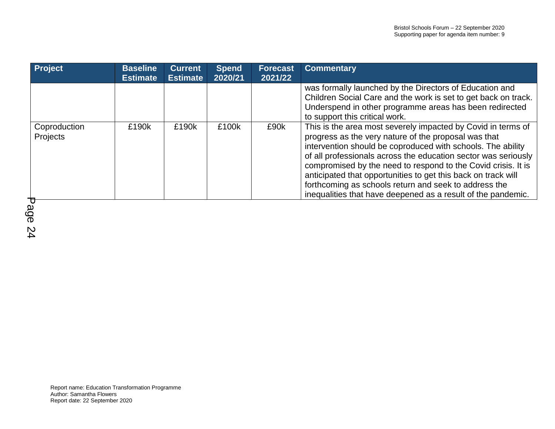| <b>Project</b>           | <b>Baseline</b><br><b>Estimate</b> | <b>Current</b><br><b>Estimate</b> | <b>Spend</b><br>2020/21 | <b>Forecast</b><br>2021/22 | <b>Commentary</b>                                                                                                                                                                                                                                                                                                                                                                                                                                                                                                |
|--------------------------|------------------------------------|-----------------------------------|-------------------------|----------------------------|------------------------------------------------------------------------------------------------------------------------------------------------------------------------------------------------------------------------------------------------------------------------------------------------------------------------------------------------------------------------------------------------------------------------------------------------------------------------------------------------------------------|
|                          |                                    |                                   |                         |                            | was formally launched by the Directors of Education and<br>Children Social Care and the work is set to get back on track.<br>Underspend in other programme areas has been redirected<br>to support this critical work.                                                                                                                                                                                                                                                                                           |
| Coproduction<br>Projects | £190k                              | £190k                             | £100k                   | £90k                       | This is the area most severely impacted by Covid in terms of<br>progress as the very nature of the proposal was that<br>intervention should be coproduced with schools. The ability<br>of all professionals across the education sector was seriously<br>compromised by the need to respond to the Covid crisis. It is<br>anticipated that opportunities to get this back on track will<br>forthcoming as schools return and seek to address the<br>inequalities that have deepened as a result of the pandemic. |

Page 24

Report name: Education Transformation Programme Author: Samantha Flowers Report date: 22 September 2020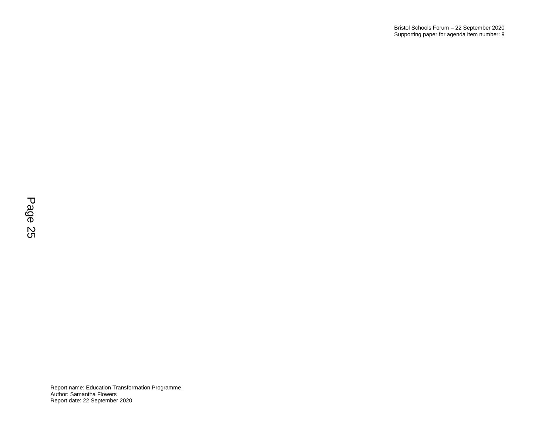Report name: Education Transformation Programme Author: Samantha Flowers Report date: 22 September 2020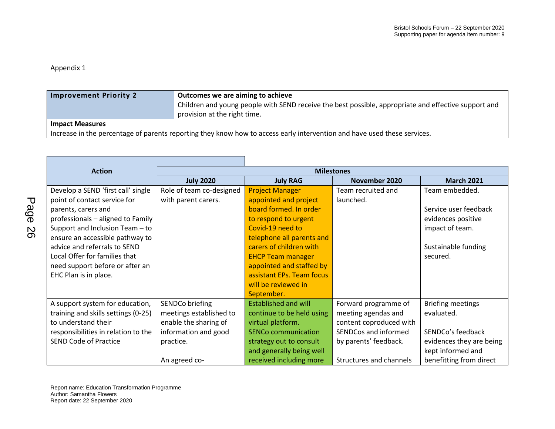#### Appendix 1

| Improvement Priority 2 | Outcomes we are aiming to achieve<br>Children and young people with SEND receive the best possible, appropriate and effective support and<br>provision at the right time. |
|------------------------|---------------------------------------------------------------------------------------------------------------------------------------------------------------------------|
| <b>Impact Measures</b> |                                                                                                                                                                           |

Increase in the percentage of parents reporting they know how to access early intervention and have used these services.

| <b>Action</b>                       | <b>Milestones</b>        |                             |                         |                          |  |  |  |
|-------------------------------------|--------------------------|-----------------------------|-------------------------|--------------------------|--|--|--|
|                                     | <b>July 2020</b>         | <b>July RAG</b>             | November 2020           | <b>March 2021</b>        |  |  |  |
| Develop a SEND 'first call' single  | Role of team co-designed | <b>Project Manager</b>      | Team recruited and      | Team embedded.           |  |  |  |
| point of contact service for        | with parent carers.      | appointed and project       | launched.               |                          |  |  |  |
| parents, carers and                 |                          | board formed. In order      |                         | Service user feedback    |  |  |  |
| professionals - aligned to Family   |                          | to respond to urgent        |                         | evidences positive       |  |  |  |
| Support and Inclusion Team - to     |                          | Covid-19 need to            |                         | impact of team.          |  |  |  |
| ensure an accessible pathway to     |                          | telephone all parents and   |                         |                          |  |  |  |
| advice and referrals to SEND        |                          | carers of children with     |                         | Sustainable funding      |  |  |  |
| Local Offer for families that       |                          | <b>EHCP Team manager</b>    |                         | secured.                 |  |  |  |
| need support before or after an     |                          | appointed and staffed by    |                         |                          |  |  |  |
| EHC Plan is in place.               |                          | assistant EPs. Team focus   |                         |                          |  |  |  |
|                                     |                          | will be reviewed in         |                         |                          |  |  |  |
|                                     |                          | September.                  |                         |                          |  |  |  |
| A support system for education,     | SENDCo briefing          | <b>Established and will</b> | Forward programme of    | <b>Briefing meetings</b> |  |  |  |
| training and skills settings (0-25) | meetings established to  | continue to be held using   | meeting agendas and     | evaluated.               |  |  |  |
| to understand their                 | enable the sharing of    | virtual platform.           | content coproduced with |                          |  |  |  |
| responsibilities in relation to the | information and good     | <b>SENCo communication</b>  | SENDCos and informed    | SENDCo's feedback        |  |  |  |
| <b>SEND Code of Practice</b>        | practice.                | strategy out to consult     | by parents' feedback.   | evidences they are being |  |  |  |
|                                     |                          | and generally being well    |                         | kept informed and        |  |  |  |
|                                     | An agreed co-            | received including more     | Structures and channels | benefitting from direct  |  |  |  |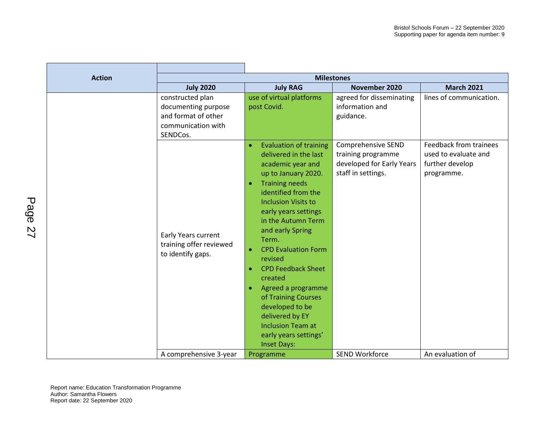| <b>Action</b> | <b>Milestones</b>                                                                                |                                                                                                                                                                                                                                                                                                                                                                                                                                                                                                                  |                                                                                                    |                                                                                        |  |  |  |  |
|---------------|--------------------------------------------------------------------------------------------------|------------------------------------------------------------------------------------------------------------------------------------------------------------------------------------------------------------------------------------------------------------------------------------------------------------------------------------------------------------------------------------------------------------------------------------------------------------------------------------------------------------------|----------------------------------------------------------------------------------------------------|----------------------------------------------------------------------------------------|--|--|--|--|
|               | <b>July 2020</b>                                                                                 | <b>July RAG</b>                                                                                                                                                                                                                                                                                                                                                                                                                                                                                                  | November 2020                                                                                      | <b>March 2021</b>                                                                      |  |  |  |  |
|               | constructed plan<br>documenting purpose<br>and format of other<br>communication with<br>SENDCos. | use of virtual platforms<br>post Covid.                                                                                                                                                                                                                                                                                                                                                                                                                                                                          | agreed for disseminating<br>information and<br>guidance.                                           | lines of communication.                                                                |  |  |  |  |
|               | Early Years current<br>training offer reviewed<br>to identify gaps.                              | <b>Evaluation of training</b><br>$\bullet$<br>delivered in the last<br>academic year and<br>up to January 2020.<br><b>Training needs</b><br>identified from the<br><b>Inclusion Visits to</b><br>early years settings<br>in the Autumn Term<br>and early Spring<br>Term.<br><b>CPD Evaluation Form</b><br>revised<br><b>CPD Feedback Sheet</b><br>created<br>Agreed a programme<br>of Training Courses<br>developed to be<br>delivered by EY<br><b>Inclusion Team at</b><br>early years settings'<br>Inset Days: | <b>Comprehensive SEND</b><br>training programme<br>developed for Early Years<br>staff in settings. | <b>Feedback from trainees</b><br>used to evaluate and<br>further develop<br>programme. |  |  |  |  |
|               | A comprehensive 3-year                                                                           | Programme                                                                                                                                                                                                                                                                                                                                                                                                                                                                                                        | <b>SEND Workforce</b>                                                                              | An evaluation of                                                                       |  |  |  |  |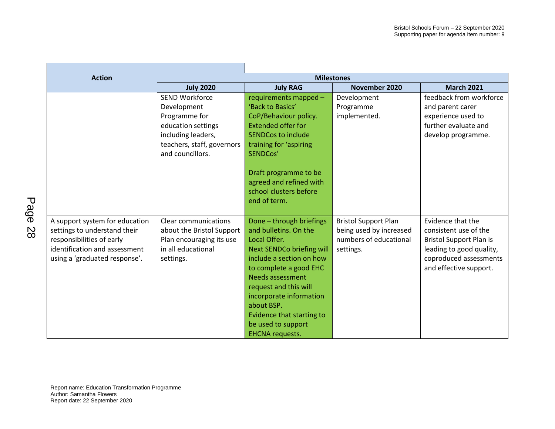| <b>Action</b>                                                                                                                                                 | <b>Milestones</b>                                                                                                                                   |                                                                                                                                                                                                                                                                                                                                       |                                                                                               |                                                                                                                                                              |  |  |  |
|---------------------------------------------------------------------------------------------------------------------------------------------------------------|-----------------------------------------------------------------------------------------------------------------------------------------------------|---------------------------------------------------------------------------------------------------------------------------------------------------------------------------------------------------------------------------------------------------------------------------------------------------------------------------------------|-----------------------------------------------------------------------------------------------|--------------------------------------------------------------------------------------------------------------------------------------------------------------|--|--|--|
|                                                                                                                                                               | <b>July 2020</b>                                                                                                                                    | <b>July RAG</b>                                                                                                                                                                                                                                                                                                                       | November 2020                                                                                 | <b>March 2021</b>                                                                                                                                            |  |  |  |
|                                                                                                                                                               | <b>SEND Workforce</b><br>Development<br>Programme for<br>education settings<br>including leaders,<br>teachers, staff, governors<br>and councillors. | requirements mapped -<br>'Back to Basics'<br>CoP/Behaviour policy.<br><b>Extended offer for</b><br><b>SENDCos to include</b><br>training for 'aspiring<br>SENDCos'<br>Draft programme to be<br>agreed and refined with<br>school clusters before<br>end of term.                                                                      | Development<br>Programme<br>implemented.                                                      | feedback from workforce<br>and parent carer<br>experience used to<br>further evaluate and<br>develop programme.                                              |  |  |  |
| A support system for education<br>settings to understand their<br>responsibilities of early<br>identification and assessment<br>using a 'graduated response'. | <b>Clear communications</b><br>about the Bristol Support<br>Plan encouraging its use<br>in all educational<br>settings.                             | Done - through briefings<br>and bulletins. On the<br>Local Offer.<br><b>Next SENDCo briefing will</b><br>include a section on how<br>to complete a good EHC<br><b>Needs assessment</b><br>request and this will<br>incorporate information<br>about BSP.<br>Evidence that starting to<br>be used to support<br><b>EHCNA</b> requests. | <b>Bristol Support Plan</b><br>being used by increased<br>numbers of educational<br>settings. | Evidence that the<br>consistent use of the<br><b>Bristol Support Plan is</b><br>leading to good quality,<br>coproduced assessments<br>and effective support. |  |  |  |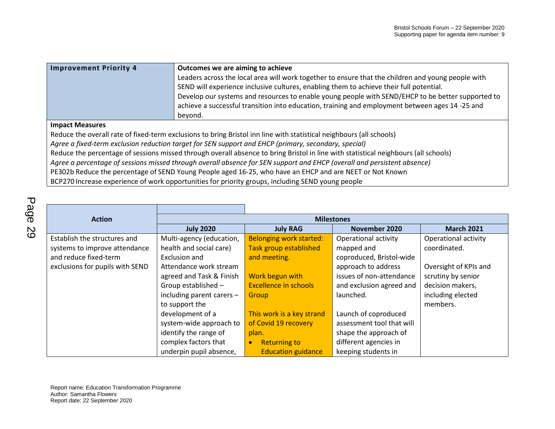| <b>Improvement Priority 4</b> | Outcomes we are aiming to achieve                                                                  |
|-------------------------------|----------------------------------------------------------------------------------------------------|
|                               | Leaders across the local area will work together to ensure that the children and young people with |
|                               | SEND will experience inclusive cultures, enabling them to achieve their full potential.            |
|                               | Develop our systems and resources to enable young people with SEND/EHCP to be better supported to  |
|                               | achieve a successful transition into education, training and employment between ages 14 -25 and    |
|                               | beyond.                                                                                            |
| <b>Impact Measures</b>        |                                                                                                    |

Reduce the overall rate of fixed-term exclusions to bring Bristol inn line with statistical neighbours (all schools) *Agree a fixed-term exclusion reduction target for SEN support and EHCP (primary, secondary, special)* Reduce the percentage of sessions missed through overall absence to bring Bristol in line with statistical neighbours (all schools) *Agree a percentage of sessions missed through overall absence for SEN support and EHCP (overall and persistent absence)* PE302b Reduce the percentage of SEND Young People aged 16-25, who have an EHCP and are NEET or Not Known BCP270 Increase experience of work opportunities for priority groups, including SEND young people

| <b>Action</b>                   | <b>Milestones</b>           |                                |                           |                       |  |  |  |
|---------------------------------|-----------------------------|--------------------------------|---------------------------|-----------------------|--|--|--|
|                                 | <b>July 2020</b>            | <b>July RAG</b>                | November 2020             | <b>March 2021</b>     |  |  |  |
| Establish the structures and    | Multi-agency (education,    | <b>Belonging work started:</b> | Operational activity      | Operational activity  |  |  |  |
| systems to improve attendance   | health and social care)     | Task group established         | mapped and                | coordinated.          |  |  |  |
| and reduce fixed-term           | <b>Exclusion and</b>        | and meeting.                   | coproduced, Bristol-wide  |                       |  |  |  |
| exclusions for pupils with SEND | Attendance work stream      |                                | approach to address       | Oversight of KPIs and |  |  |  |
|                                 | agreed and Task & Finish    | Work begun with                | issues of non-attendance  | scrutiny by senior    |  |  |  |
|                                 | Group established -         | <b>Excellence in schools</b>   | and exclusion agreed and  | decision makers,      |  |  |  |
|                                 | including parent carers $-$ | Group                          | launched.                 | including elected     |  |  |  |
|                                 | to support the              |                                |                           | members.              |  |  |  |
|                                 | development of a            | This work is a key strand      | Launch of coproduced      |                       |  |  |  |
|                                 | system-wide approach to     | of Covid 19 recovery           | assessment tool that will |                       |  |  |  |
|                                 | identify the range of       | plan.                          | shape the approach of     |                       |  |  |  |
|                                 | complex factors that        | <b>Returning to</b>            | different agencies in     |                       |  |  |  |
|                                 | underpin pupil absence,     | <b>Education guidance</b>      | keeping students in       |                       |  |  |  |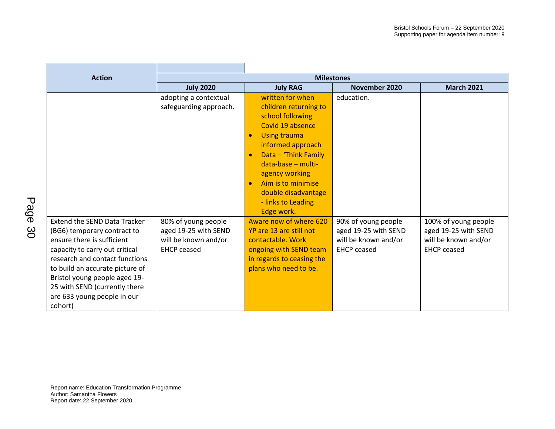| <b>Action</b>                       |                        |                           | <b>Milestones</b>    |                      |
|-------------------------------------|------------------------|---------------------------|----------------------|----------------------|
|                                     | <b>July 2020</b>       | <b>July RAG</b>           | November 2020        | <b>March 2021</b>    |
|                                     | adopting a contextual  | written for when          | education.           |                      |
|                                     | safeguarding approach. | children returning to     |                      |                      |
|                                     |                        | school following          |                      |                      |
|                                     |                        | Covid 19 absence          |                      |                      |
|                                     |                        | <b>Using trauma</b>       |                      |                      |
|                                     |                        | informed approach         |                      |                      |
|                                     |                        | Data - 'Think Family      |                      |                      |
|                                     |                        | data-base - multi-        |                      |                      |
|                                     |                        | agency working            |                      |                      |
|                                     |                        | Aim is to minimise        |                      |                      |
|                                     |                        | double disadvantage       |                      |                      |
|                                     |                        | - links to Leading        |                      |                      |
|                                     |                        | Edge work.                |                      |                      |
| <b>Extend the SEND Data Tracker</b> | 80% of young people    | Aware now of where 620    | 90% of young people  | 100% of young people |
| (BG6) temporary contract to         | aged 19-25 with SEND   | YP are 13 are still not   | aged 19-25 with SEND | aged 19-25 with SEND |
| ensure there is sufficient          | will be known and/or   | contactable. Work         | will be known and/or | will be known and/or |
| capacity to carry out critical      | <b>EHCP</b> ceased     | ongoing with SEND team    | <b>EHCP</b> ceased   | <b>EHCP</b> ceased   |
| research and contact functions      |                        | in regards to ceasing the |                      |                      |
| to build an accurate picture of     |                        | plans who need to be.     |                      |                      |
| Bristol young people aged 19-       |                        |                           |                      |                      |
| 25 with SEND (currently there       |                        |                           |                      |                      |
| are 633 young people in our         |                        |                           |                      |                      |
| cohort)                             |                        |                           |                      |                      |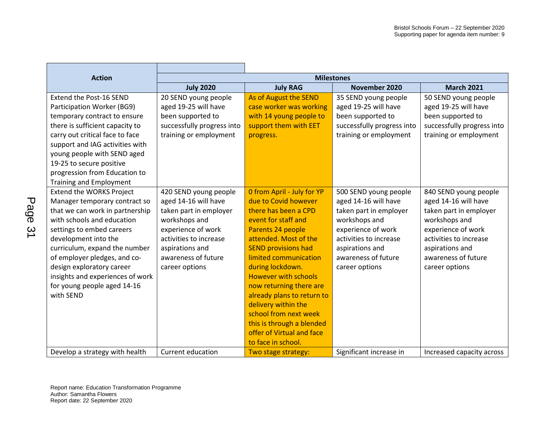| <b>Action</b>                                                                                                                                                                                                                                                                                                                                                                                          | <b>Milestones</b>                                                                                                                                                                                    |                                                                                                                                                                                                                                                                                                                                                                                                                                                    |                                                                                                                                                                                                      |                                                                                                                                                                                                      |  |  |
|--------------------------------------------------------------------------------------------------------------------------------------------------------------------------------------------------------------------------------------------------------------------------------------------------------------------------------------------------------------------------------------------------------|------------------------------------------------------------------------------------------------------------------------------------------------------------------------------------------------------|----------------------------------------------------------------------------------------------------------------------------------------------------------------------------------------------------------------------------------------------------------------------------------------------------------------------------------------------------------------------------------------------------------------------------------------------------|------------------------------------------------------------------------------------------------------------------------------------------------------------------------------------------------------|------------------------------------------------------------------------------------------------------------------------------------------------------------------------------------------------------|--|--|
|                                                                                                                                                                                                                                                                                                                                                                                                        | <b>July 2020</b>                                                                                                                                                                                     | <b>July RAG</b>                                                                                                                                                                                                                                                                                                                                                                                                                                    | November 2020                                                                                                                                                                                        | <b>March 2021</b>                                                                                                                                                                                    |  |  |
| Extend the Post-16 SEND<br>Participation Worker (BG9)<br>temporary contract to ensure<br>there is sufficient capacity to<br>carry out critical face to face<br>support and IAG activities with<br>young people with SEND aged<br>19-25 to secure positive<br>progression from Education to                                                                                                             | 20 SEND young people<br>aged 19-25 will have<br>been supported to<br>successfully progress into<br>training or employment                                                                            | <b>As of August the SEND</b><br>case worker was working<br>with 14 young people to<br>support them with EET<br>progress.                                                                                                                                                                                                                                                                                                                           | 35 SEND young people<br>aged 19-25 will have<br>been supported to<br>successfully progress into<br>training or employment                                                                            | 50 SEND young people<br>aged 19-25 will have<br>been supported to<br>successfully progress into<br>training or employment                                                                            |  |  |
| <b>Training and Employment</b><br><b>Extend the WORKS Project</b><br>Manager temporary contract so<br>that we can work in partnership<br>with schools and education<br>settings to embed careers<br>development into the<br>curriculum, expand the number<br>of employer pledges, and co-<br>design exploratory career<br>insights and experiences of work<br>for young people aged 14-16<br>with SEND | 420 SEND young people<br>aged 14-16 will have<br>taken part in employer<br>workshops and<br>experience of work<br>activities to increase<br>aspirations and<br>awareness of future<br>career options | 0 from April - July for YP<br>due to Covid however<br>there has been a CPD<br>event for staff and<br>Parents 24 people<br>attended. Most of the<br><b>SEND provisions had</b><br>limited communication<br>during lockdown.<br><b>However with schools</b><br>now returning there are<br>already plans to return to<br>delivery within the<br>school from next week<br>this is through a blended<br>offer of Virtual and face<br>to face in school. | 500 SEND young people<br>aged 14-16 will have<br>taken part in employer<br>workshops and<br>experience of work<br>activities to increase<br>aspirations and<br>awareness of future<br>career options | 840 SEND young people<br>aged 14-16 will have<br>taken part in employer<br>workshops and<br>experience of work<br>activities to increase<br>aspirations and<br>awareness of future<br>career options |  |  |
| Develop a strategy with health                                                                                                                                                                                                                                                                                                                                                                         | Current education                                                                                                                                                                                    | Two stage strategy:                                                                                                                                                                                                                                                                                                                                                                                                                                | Significant increase in                                                                                                                                                                              | Increased capacity across                                                                                                                                                                            |  |  |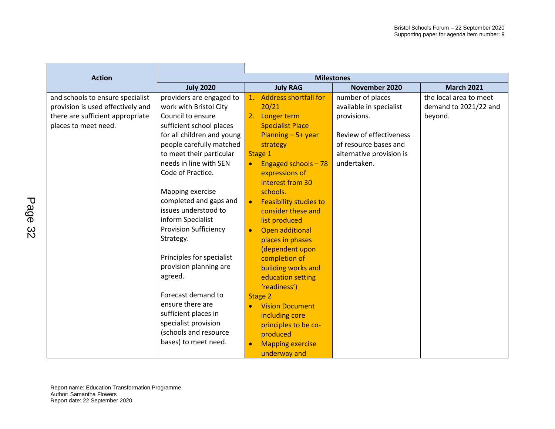| <b>Action</b>                     | <b>Milestones</b>            |                                         |                                |                        |  |
|-----------------------------------|------------------------------|-----------------------------------------|--------------------------------|------------------------|--|
|                                   | <b>July 2020</b>             | <b>July RAG</b>                         | November 2020                  | <b>March 2021</b>      |  |
| and schools to ensure specialist  | providers are engaged to     | <b>Address shortfall for</b><br>$1_{-}$ | number of places               | the local area to meet |  |
| provision is used effectively and | work with Bristol City       | 20/21                                   | available in specialist        | demand to 2021/22 and  |  |
| there are sufficient appropriate  | Council to ensure            | Longer term<br>2.                       | provisions.                    | beyond.                |  |
| places to meet need.              | sufficient school places     | <b>Specialist Place</b>                 |                                |                        |  |
|                                   | for all children and young   | Planning $-5+$ year                     | <b>Review of effectiveness</b> |                        |  |
|                                   | people carefully matched     | strategy                                | of resource bases and          |                        |  |
|                                   | to meet their particular     | Stage 1                                 | alternative provision is       |                        |  |
|                                   | needs in line with SEN       | Engaged schools - 78<br>$\bullet$       | undertaken.                    |                        |  |
|                                   | Code of Practice.            | expressions of                          |                                |                        |  |
|                                   |                              | interest from 30                        |                                |                        |  |
|                                   | Mapping exercise             | schools.                                |                                |                        |  |
|                                   | completed and gaps and       | <b>Feasibility studies to</b>           |                                |                        |  |
|                                   | issues understood to         | consider these and                      |                                |                        |  |
|                                   | inform Specialist            | list produced                           |                                |                        |  |
|                                   | <b>Provision Sufficiency</b> | Open additional                         |                                |                        |  |
|                                   | Strategy.                    | places in phases                        |                                |                        |  |
|                                   |                              | (dependent upon                         |                                |                        |  |
|                                   | Principles for specialist    | completion of                           |                                |                        |  |
|                                   | provision planning are       | building works and                      |                                |                        |  |
|                                   | agreed.                      | education setting                       |                                |                        |  |
|                                   |                              | 'readiness')                            |                                |                        |  |
|                                   | Forecast demand to           | Stage 2                                 |                                |                        |  |
|                                   | ensure there are             | <b>Vision Document</b>                  |                                |                        |  |
|                                   | sufficient places in         | including core                          |                                |                        |  |
|                                   | specialist provision         | principles to be co-                    |                                |                        |  |
|                                   | (schools and resource        | produced                                |                                |                        |  |
|                                   | bases) to meet need.         | <b>Mapping exercise</b>                 |                                |                        |  |
|                                   |                              | underway and                            |                                |                        |  |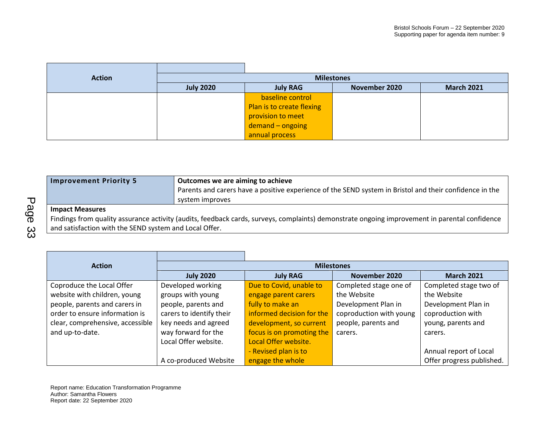| <b>Action</b> |                  | <b>Milestones</b>         |               |                   |  |
|---------------|------------------|---------------------------|---------------|-------------------|--|
|               | <b>July 2020</b> | <b>July RAG</b>           | November 2020 | <b>March 2021</b> |  |
|               |                  | baseline control          |               |                   |  |
|               |                  | Plan is to create flexing |               |                   |  |
|               |                  | provision to meet         |               |                   |  |
|               |                  | $demand - ongoing$        |               |                   |  |
|               |                  | annual process            |               |                   |  |

| <b>Improvement Priority 5</b>                                                                                                                 | Outcomes we are aiming to achieve                                                                       |  |  |  |
|-----------------------------------------------------------------------------------------------------------------------------------------------|---------------------------------------------------------------------------------------------------------|--|--|--|
|                                                                                                                                               | Parents and carers have a positive experience of the SEND system in Bristol and their confidence in the |  |  |  |
|                                                                                                                                               | system improves                                                                                         |  |  |  |
| <b>Impact Measures</b>                                                                                                                        |                                                                                                         |  |  |  |
| Findings from quality assurance activity (audits, feedback cards, surveys, complaints) demonstrate ongoing improvement in parental confidence |                                                                                                         |  |  |  |
| and satisfaction with the SEND system and Local Offer.                                                                                        |                                                                                                         |  |  |  |

Page 33

| <b>Action</b>                    |                          | <b>Milestones</b>         |                         |                           |  |  |
|----------------------------------|--------------------------|---------------------------|-------------------------|---------------------------|--|--|
|                                  | <b>July 2020</b>         | <b>July RAG</b>           | November 2020           | <b>March 2021</b>         |  |  |
| Coproduce the Local Offer        | Developed working        | Due to Covid, unable to   | Completed stage one of  | Completed stage two of    |  |  |
| website with children, young     | groups with young        | engage parent carers      | the Website             | the Website               |  |  |
| people, parents and carers in    | people, parents and      | fully to make an          | Development Plan in     | Development Plan in       |  |  |
| order to ensure information is   | carers to identify their | informed decision for the | coproduction with young | coproduction with         |  |  |
| clear, comprehensive, accessible | key needs and agreed     | development, so current   | people, parents and     | young, parents and        |  |  |
| and up-to-date.                  | way forward for the      | focus is on promoting the | carers.                 | carers.                   |  |  |
|                                  | Local Offer website.     | Local Offer website.      |                         |                           |  |  |
|                                  |                          | - Revised plan is to      |                         | Annual report of Local    |  |  |
|                                  | A co-produced Website    | engage the whole          |                         | Offer progress published. |  |  |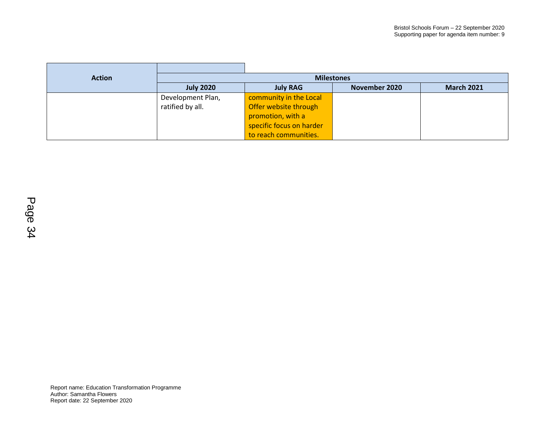| <b>Action</b> | <b>Milestones</b> |                                  |  |                   |  |
|---------------|-------------------|----------------------------------|--|-------------------|--|
|               | <b>July 2020</b>  | November 2020<br><b>July RAG</b> |  | <b>March 2021</b> |  |
|               | Development Plan, | community in the Local           |  |                   |  |
|               | ratified by all.  | Offer website through            |  |                   |  |
|               |                   | promotion, with a                |  |                   |  |
|               |                   | specific focus on harder         |  |                   |  |
|               |                   | to reach communities.            |  |                   |  |

Report name: Education Transformation Programme Author: Samantha Flowers Report date: 22 September 2020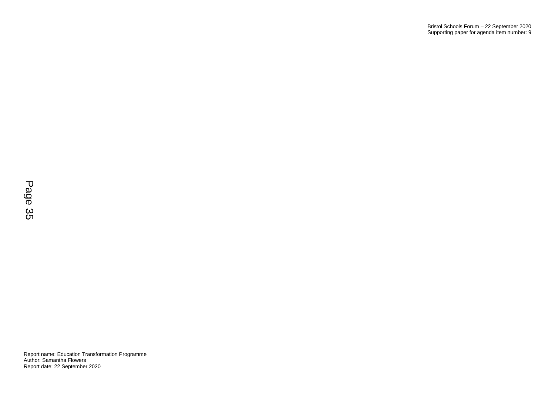Report name: Education Transformation Programme Author: Samantha Flowers Report date: 22 September 2020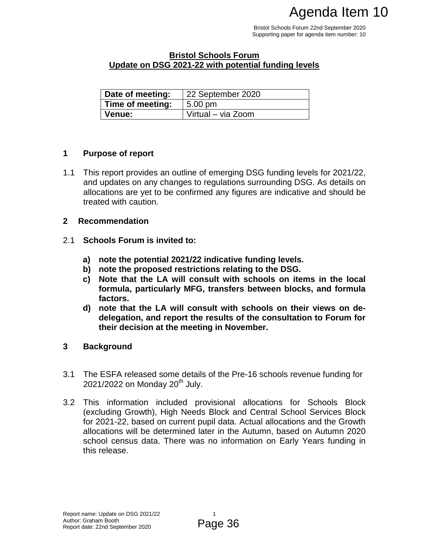Bristol Schools Forum 22nd September 2020 Supporting paper for agenda item number: 10

#### **Bristol Schools Forum Update on DSG 2021-22 with potential funding levels**

| Date of meeting: | 22 September 2020  |
|------------------|--------------------|
| Time of meeting: | $5.00 \text{ pm}$  |
| Venue:           | Virtual - via Zoom |

#### **1 Purpose of report**

1.1 This report provides an outline of emerging DSG funding levels for 2021/22, and updates on any changes to regulations surrounding DSG. As details on allocations are yet to be confirmed any figures are indicative and should be treated with caution.

#### **2 Recommendation**

- 2.1 **Schools Forum is invited to:**
	- **a) note the potential 2021/22 indicative funding levels.**
	- **b) note the proposed restrictions relating to the DSG.**
	- **c) Note that the LA will consult with schools on items in the local formula, particularly MFG, transfers between blocks, and formula factors.**
	- **d) note that the LA will consult with schools on their views on dedelegation, and report the results of the consultation to Forum for their decision at the meeting in November.**
- **3 Background**
- 3.1 The ESFA released some details of the Pre-16 schools revenue funding for  $2021/2022$  on Monday  $20<sup>th</sup>$  July.
- 3.2 This information included provisional allocations for Schools Block (excluding Growth), High Needs Block and Central School Services Block for 2021-22, based on current pupil data. Actual allocations and the Growth allocations will be determined later in the Autumn, based on Autumn 2020 school census data. There was no information on Early Years funding in this release. Agenda Item 10<br>
Supportion also Supportion pager for agenda item matter.<br>
Supportion pager for agenda item number: 10<br>
22 With potential funding levels<br>
September 2020<br>
O om<br>
O om<br>
of emerging DSG funding levels for 2021/2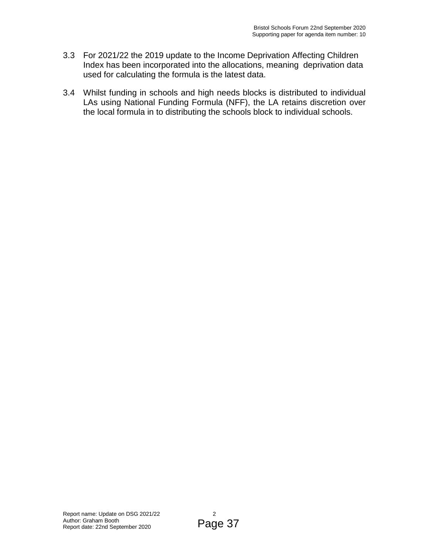- 3.3 For 2021/22 the 2019 update to the Income Deprivation Affecting Children Index has been incorporated into the allocations, meaning deprivation data used for calculating the formula is the latest data.
- 3.4 Whilst funding in schools and high needs blocks is distributed to individual LAs using National Funding Formula (NFF), the LA retains discretion over the local formula in to distributing the schools block to individual schools.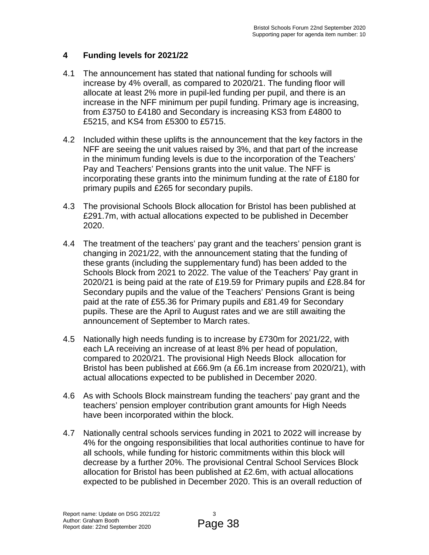#### **4 Funding levels for 2021/22**

- 4.1 The announcement has stated that national funding for schools will increase by 4% overall, as compared to 2020/21. The funding floor will allocate at least 2% more in pupil-led funding per pupil, and there is an increase in the NFF minimum per pupil funding. Primary age is increasing, from £3750 to £4180 and Secondary is increasing KS3 from £4800 to £5215, and KS4 from £5300 to £5715.
- 4.2 Included within these uplifts is the announcement that the key factors in the NFF are seeing the unit values raised by 3%, and that part of the increase in the minimum funding levels is due to the incorporation of the Teachers' Pay and Teachers' Pensions grants into the unit value. The NFF is incorporating these grants into the minimum funding at the rate of £180 for primary pupils and £265 for secondary pupils.
- 4.3 The provisional Schools Block allocation for Bristol has been published at £291.7m, with actual allocations expected to be published in December 2020.
- 4.4 The treatment of the teachers' pay grant and the teachers' pension grant is changing in 2021/22, with the announcement stating that the funding of these grants (including the supplementary fund) has been added to the Schools Block from 2021 to 2022. The value of the Teachers' Pay grant in 2020/21 is being paid at the rate of £19.59 for Primary pupils and £28.84 for Secondary pupils and the value of the Teachers' Pensions Grant is being paid at the rate of £55.36 for Primary pupils and £81.49 for Secondary pupils. These are the April to August rates and we are still awaiting the announcement of September to March rates.
- 4.5 Nationally high needs funding is to increase by £730m for 2021/22, with each LA receiving an increase of at least 8% per head of population, compared to 2020/21. The provisional High Needs Block allocation for Bristol has been published at £66.9m (a £6.1m increase from 2020/21), with actual allocations expected to be published in December 2020.
- 4.6 As with Schools Block mainstream funding the teachers' pay grant and the teachers' pension employer contribution grant amounts for High Needs have been incorporated within the block.
- 4.7 Nationally central schools services funding in 2021 to 2022 will increase by 4% for the ongoing responsibilities that local authorities continue to have for all schools, while funding for historic commitments within this block will decrease by a further 20%. The provisional Central School Services Block allocation for Bristol has been published at £2.6m, with actual allocations expected to be published in December 2020. This is an overall reduction of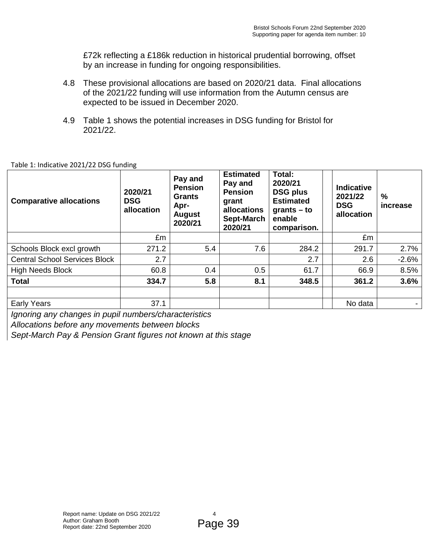£72k reflecting a £186k reduction in historical prudential borrowing, offset by an increase in funding for ongoing responsibilities.

- 4.8 These provisional allocations are based on 2020/21 data. Final allocations of the 2021/22 funding will use information from the Autumn census are expected to be issued in December 2020.
- 4.9 Table 1 shows the potential increases in DSG funding for Bristol for 2021/22.

| Table 1: Indicative 2021/22 DSG funding |
|-----------------------------------------|
|-----------------------------------------|

| <b>Comparative allocations</b>       | 2020/21<br><b>DSG</b><br>allocation | Pay and<br><b>Pension</b><br><b>Grants</b><br>Apr-<br><b>August</b><br>2020/21 | <b>Estimated</b><br>Pay and<br><b>Pension</b><br>grant<br>allocations<br>Sept-March<br>2020/21 | Total:<br>2020/21<br><b>DSG plus</b><br><b>Estimated</b><br>$grants - to$<br>enable<br>comparison. | <b>Indicative</b><br>2021/22<br><b>DSG</b><br>allocation | %<br>increase |
|--------------------------------------|-------------------------------------|--------------------------------------------------------------------------------|------------------------------------------------------------------------------------------------|----------------------------------------------------------------------------------------------------|----------------------------------------------------------|---------------|
|                                      | £m                                  |                                                                                |                                                                                                |                                                                                                    | £m                                                       |               |
| Schools Block excl growth            | 271.2                               | 5.4                                                                            | 7.6                                                                                            | 284.2                                                                                              | 291.7                                                    | 2.7%          |
| <b>Central School Services Block</b> | 2.7                                 |                                                                                |                                                                                                | 2.7                                                                                                | 2.6                                                      | $-2.6%$       |
| <b>High Needs Block</b>              | 60.8                                | 0.4                                                                            | 0.5                                                                                            | 61.7                                                                                               | 66.9                                                     | 8.5%          |
| <b>Total</b>                         | 334.7                               | 5.8                                                                            | 8.1                                                                                            | 348.5                                                                                              | 361.2                                                    | 3.6%          |
|                                      |                                     |                                                                                |                                                                                                |                                                                                                    |                                                          |               |
| <b>Early Years</b>                   | 37.1                                |                                                                                |                                                                                                |                                                                                                    | No data                                                  |               |

*Ignoring any changes in pupil numbers/characteristics*

*Allocations before any movements between blocks*

*Sept-March Pay & Pension Grant figures not known at this stage*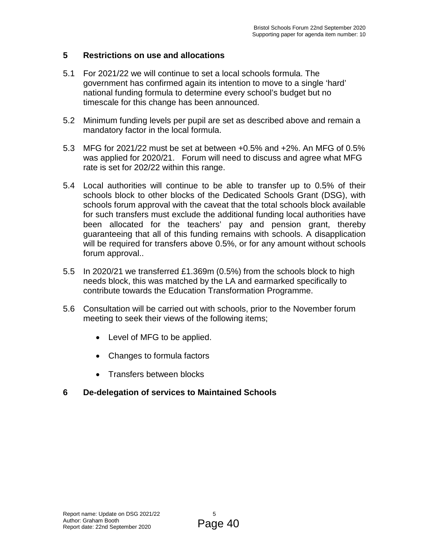#### **5 Restrictions on use and allocations**

- 5.1 For 2021/22 we will continue to set a local schools formula. The government has confirmed again its intention to move to a single 'hard' national funding formula to determine every school's budget but no timescale for this change has been announced.
- 5.2 Minimum funding levels per pupil are set as described above and remain a mandatory factor in the local formula.
- 5.3 MFG for 2021/22 must be set at between +0.5% and +2%. An MFG of 0.5% was applied for 2020/21. Forum will need to discuss and agree what MFG rate is set for 202/22 within this range.
- 5.4 Local authorities will continue to be able to transfer up to 0.5% of their schools block to other blocks of the Dedicated Schools Grant (DSG), with schools forum approval with the caveat that the total schools block available for such transfers must exclude the additional funding local authorities have been allocated for the teachers' pay and pension grant, thereby guaranteeing that all of this funding remains with schools. A disapplication will be required for transfers above 0.5%, or for any amount without schools forum approval..
- 5.5 In 2020/21 we transferred £1.369m (0.5%) from the schools block to high needs block, this was matched by the LA and earmarked specifically to contribute towards the Education Transformation Programme.
- 5.6 Consultation will be carried out with schools, prior to the November forum meeting to seek their views of the following items;
	- Level of MFG to be applied.
	- Changes to formula factors
	- Transfers between blocks
- **6 De-delegation of services to Maintained Schools**